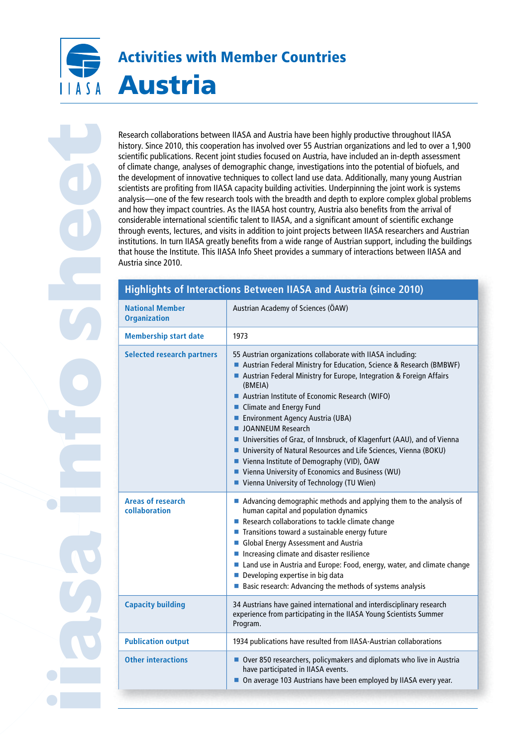# Activities with Member Countries Austria  $A \cap A$

**iiasa info sheet**

Research collaborations between IIASA and Austria have been highly productive throughout IIASA history. Since 2010, this cooperation has involved over 55 Austrian organizations and led to over a 1,900 scientific publications. Recent joint studies focused on Austria, have included an in-depth assessment of climate change, analyses of demographic change, investigations into the potential of biofuels, and the development of innovative techniques to collect land use data. Additionally, many young Austrian scientists are profiting from IIASA capacity building activities. Underpinning the joint work is systems analysis—one of the few research tools with the breadth and depth to explore complex global problems and how they impact countries. As the IIASA host country, Austria also benefits from the arrival of considerable international scientific talent to IIASA, and a significant amount of scientific exchange through events, lectures, and visits in addition to joint projects between IIASA researchers and Austrian institutions. In turn IIASA greatly benefits from a wide range of Austrian support, including the buildings that house the Institute. This IIASA Info Sheet provides a summary of interactions between IIASA and Austria since 2010.

# **Highlights of Interactions Between IIASA and Austria (since 2010)**

| <b>National Member</b><br><b>Organization</b> | Austrian Academy of Sciences (ÖAW)                                                                                                                                                                                                                                                                                                                                                                                                                                                                                                                                                                                                                                  |
|-----------------------------------------------|---------------------------------------------------------------------------------------------------------------------------------------------------------------------------------------------------------------------------------------------------------------------------------------------------------------------------------------------------------------------------------------------------------------------------------------------------------------------------------------------------------------------------------------------------------------------------------------------------------------------------------------------------------------------|
| <b>Membership start date</b>                  | 1973                                                                                                                                                                                                                                                                                                                                                                                                                                                                                                                                                                                                                                                                |
| <b>Selected research partners</b>             | 55 Austrian organizations collaborate with IIASA including:<br>Austrian Federal Ministry for Education, Science & Research (BMBWF)<br>Austrian Federal Ministry for Europe, Integration & Foreign Affairs<br>(BMEIA)<br>Austrian Institute of Economic Research (WIFO)<br>■ Climate and Energy Fund<br>Environment Agency Austria (UBA)<br><b>JOANNEUM Research</b><br>Universities of Graz, of Innsbruck, of Klagenfurt (AAU), and of Vienna<br>■ University of Natural Resources and Life Sciences, Vienna (BOKU)<br>■ Vienna Institute of Demography (VID), ÖAW<br>Vienna University of Economics and Business (WU)<br>Vienna University of Technology (TU Wien) |
| <b>Areas of research</b><br>collaboration     | Advancing demographic methods and applying them to the analysis of<br>human capital and population dynamics<br>Research collaborations to tackle climate change<br>Transitions toward a sustainable energy future<br>Global Energy Assessment and Austria<br>Increasing climate and disaster resilience<br>Land use in Austria and Europe: Food, energy, water, and climate change<br>Developing expertise in big data<br>■ Basic research: Advancing the methods of systems analysis                                                                                                                                                                               |
| <b>Capacity building</b>                      | 34 Austrians have gained international and interdisciplinary research<br>experience from participating in the IIASA Young Scientists Summer<br>Program.                                                                                                                                                                                                                                                                                                                                                                                                                                                                                                             |
| <b>Publication output</b>                     | 1934 publications have resulted from IIASA-Austrian collaborations                                                                                                                                                                                                                                                                                                                                                                                                                                                                                                                                                                                                  |
| <b>Other interactions</b>                     | Over 850 researchers, policymakers and diplomats who live in Austria<br>have participated in IIASA events.<br>On average 103 Austrians have been employed by IIASA every year.                                                                                                                                                                                                                                                                                                                                                                                                                                                                                      |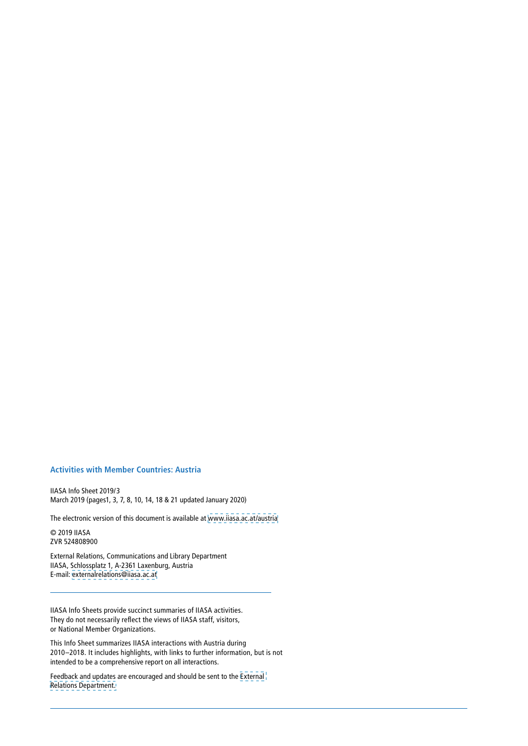# **Activities with Member Countries: Austria**

IIASA Info Sheet 2019/3 March 2019 (pages1, 3, 7, 8, 10, 14, 18 & 21 updated January 2020)

The electronic version of this document is available at [www.iiasa.ac.at/austria](http://www.iiasa.ac.at/austria)

© 2019 IIASA ZVR 524808900

External Relations, Communications and Library Department IIASA, Schlossplatz 1, A‑2361 Laxenburg, Austria E‑mail: [externalrelations@iiasa.ac.at](mailto:externalrelations%40iiasa.ac.at?subject=)

IIASA Info Sheets provide succinct summaries of IIASA activities. They do not necessarily reflect the views of IIASA staff, visitors, or National Member Organizations.

This Info Sheet summarizes IIASA interactions with Austria during 2010–2018. It includes highlights, with links to further information, but is not intended to be a comprehensive report on all interactions.

Feedback and updates are encouraged and should be sent to the [External](mailto:externalrelations%40iiasa.ac.at?subject=)  [Relations Department.](mailto:externalrelations%40iiasa.ac.at?subject=)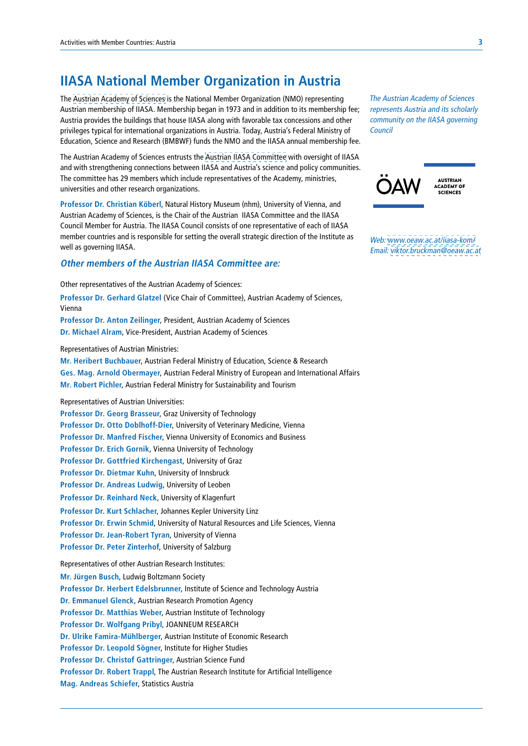# **IIASA National Member Organization in Austria**

The [Austrian Academy of Sciences](https://www.oeaw.ac.at/) is the National Member Organization (NMO) representing Austrian membership of IIASA. Membership began in 1973 and in addition to its membership fee; Austria provides the buildings that house IIASA along with favorable tax concessions and other privileges typical for international organizations in Austria. Today, Austria's Federal Ministry of Education, Science and Research (BMBWF) funds the NMO and the IIASA annual membership fee.

The Austrian Academy of Sciences entrusts the [Austrian IIASA Committee](https://www.oeaw.ac.at/iiasa-rat/) with oversight of IIASA and with strengthening connections between IIASA and Austria's science and policy communities. The committee has 29 members which include representatives of the Academy, ministries, universities and other research organizations.

**Professor Dr. Christian Köberl**, Natural History Museum (nhm), University of Vienna, and Austrian Academy of Sciences, is the Chair of the Austrian IIASA Committee and the IIASA Council Member for Austria. The IIASA Council consists of one representative of each of IIASA member countries and is responsible for setting the overall strategic direction of the Institute as well as governing IIASA.

### **Other members of the Austrian IIASA Committee are:**

Other representatives of the Austrian Academy of Sciences: **Professor Dr. Gerhard Glatzel** (Vice Chair of Committee), Austrian Academy of Sciences, Vienna **Professor Dr. Anton Zeilinger**, President, Austrian Academy of Sciences **Dr. Michael Alram**, Vice‑President, Austrian Academy of Sciences Representatives of Austrian Ministries: **Mr. Heribert Buchbauer**, Austrian Federal Ministry of Education, Science & Research **Ges. Mag. Arnold Obermayer**, Austrian Federal Ministry of European and International Affairs **Mr. Robert Pichler**, Austrian Federal Ministry for Sustainability and Tourism

Representatives of Austrian Universities:

**Professor Dr. Georg Brasseur**, Graz University of Technology **Professor Dr. Otto Doblhoff‑Dier**, University of Veterinary Medicine, Vienna **Professor Dr. Manfred Fischer**, Vienna University of Economics and Business **Professor Dr. Erich Gornik**, Vienna University of Technology **Professor Dr. Gottfried Kirchengast**, University of Graz **Professor Dr. Dietmar Kuhn**, University of Innsbruck **Professor Dr. Andreas Ludwig**, University of Leoben **Professor Dr. Reinhard Neck**, University of Klagenfurt **Professor Dr. Kurt Schlacher**, Johannes Kepler University Linz **Professor Dr. Erwin Schmid**, University of Natural Resources and Life Sciences, Vienna **Professor Dr. Jean-Robert Tyran**, University of Vienna **Professor Dr. Peter Zinterhof**, University of Salzburg

Representatives of other Austrian Research Institutes:

**Mr. Jürgen Busch**, Ludwig Boltzmann Society **Professor Dr. Herbert Edelsbrunner**, Institute of Science and Technology Austria **Dr. Emmanuel Glenck**, Austrian Research Promotion Agency **Professor Dr. Matthias Weber**, Austrian Institute of Technology **Professor Dr. Wolfgang Pribyl**, JOANNEUM RESEARCH **Dr. Ulrike Famira-Mühlberger**, Austrian Institute of Economic Research **Professor Dr. Leopold Sögner**, Institute for Higher Studies **Professor Dr. Christof Gattringer**, Austrian Science Fund **Professor Dr. Robert Trappl**, The Austrian Research Institute for Artificial Intelligence **Mag. Andreas Schiefer**, Statistics Austria

The Austrian Academy of Sciences represents Austria and its scholarly community on the IIASA governing Council



Web: [www.oeaw.ac.at/iiasa-kom/](http://www.oeaw.ac.at/iiasa-kom/) Email: [viktor.bruckman@oeaw.ac.at](mailto:mailto:viktor.bruckman%40oeaw.ac.at?subject=)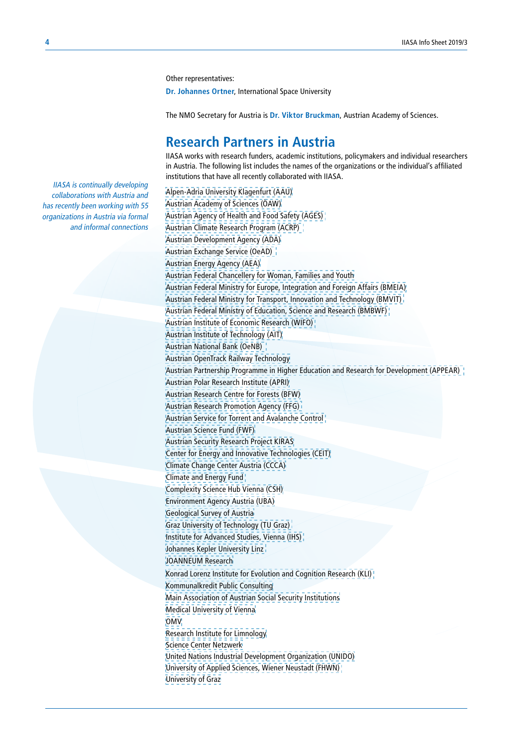Other representatives:

**Dr. Johannes Ortner**, International Space University

The NMO Secretary for Austria is **Dr. Viktor Bruckman**, Austrian Academy of Sciences.

# **Research Partners in Austria**

IIASA works with research funders, academic institutions, policymakers and individual researchers in Austria. The following list includes the names of the organizations or the individual's affiliated institutions that have all recently collaborated with IIASA.

[Alpen-Adria University Klagenfurt \(AAU\)](https://www.aau.at/en/) [Austrian Academy of Sciences \(ÖAW\)](https://www.oeaw.ac.at/) [Austrian Agency of Health and Food Safety \(AGES\)](https://www.ages.at/en/ages/basics/)  [Austrian Climate Research Program \(ACRP\)](https://www.klimafonds.gv.at/foerderungen/aktuelle-foerderungen/2017/austrian-climate-research-programme-2/)  [Austrian Development Agency \(ADA\)](https://www.klimafonds.gv.at/foerderungen/aktuelle-foerderungen/2017/austrian-climate-research-programme-2/) [Austrian Exchange Service \(OeAD\)](https://oead.at/en/)  [Austrian Energy Agency \(AEA\)](https://oead.at/en/) [Austrian Federal Chancellery for Woman, Families and Youth](http://) [Austrian Federal Ministry for Europe, Integration and Foreign Affairs \(BMEIA\)](https://www.bmeia.gv.at/en/) [Austrian Federal Ministry for Transport, Innovation and Technology \(BMVIT\)](https://www.bmvit.gv.at/en/)  [Austrian Federal Ministry of Education, Science and Research \(BMBWF\)](https://bmbwf.gv.at/)  [Austrian Institute of Economic Research \(WIFO\)](https://www.wifo.ac.at/en)  [Austrian Institute of Technology \(AIT\)](https://www.ait.ac.at/en/) [Austrian National Bank \(OeNB\)](https://www.oenb.at/en/)  [Austrian OpenTrack Railway Technology](http://www.opentrack.at/opentrack/company_e/company_e.html) [Austrian Partnership Programme in Higher Education and Research for Development \(APPEAR\)](https://appear.at/en/)  [Austrian Polar Research Institute \(APRI\)](http://www.polarresearch.at/) [Austrian Research Centre for Forests \(BFW\)](https://bfw.ac.at/rz/bfwcms.web%3Fdok%3D4745) [Austrian Research Promotion Agency \(FFG\)](https://www.ffg.at/en)  [Austrian Service for Torrent and Avalanche Control](https://www.bmnt.gv.at/english/forestry/Naturalhazards/Avalanchecontrol.html)  [Austrian Science Fund \(FWF\)](https://www.fwf.ac.at/en/) [Austrian Security Research Project KIRAS](http://www.kiras.at/en/financed-proposals/detail/d/cisa-cyber-incident-situational-awareness/) [Center for Energy and Innovative Technologies \(CEIT\)](http://www.cet.or.at/cet_en.html) [Climate Change Center Austria \(CCCA\)](https://www.ccca.ac.at/de/home/) [Climate and Energy Fund](https://www.klimafonds.gv.at/home-en-US)  [Complexity Science Hub Vienna \(CSH\)](https://www.csh.ac.at/) [Environment Agency Austria \(UBA\)](http://www.umweltbundesamt.at/en/)  [Geological Survey of Austria](https://www.geologie.ac.at/en/) [Graz University of Technology \(TU Graz\)](https://www.tugraz.at/home/)  [Institute for Advanced Studies, Vienna \(IHS\)](https://www.ihs.ac.at/)  [Johannes Kepler University Linz](https://www.jku.at/) [JOANNEUM Research](https://www.joanneum.at/) [Konrad Lorenz Institute for Evolution and Cognition Research \(KLI\)](https://www.kli.ac.at/)  [Kommunalkredit Public Consulting](https://www.publicconsulting.at/) [Main Association of Austrian Social Security Institutions](https://www.sozialversicherung.at/cdscontent/%3Fcontentid%3D10007.754316) [Medical University of Vienna](https://www.meduniwien.ac.at/web/en/) [OMV](http://www.omv.com/portal/01/com) [Research Institute for Limnology](https://www.uibk.ac.at/limno/index.html.en) [Science Center Netzwerk](http://www.science-center-net.at/) [United Nations Industrial Development Organization \(UNIDO\)](https://www.unido.org/) [University of Applied Sciences, Wiener Neustadt \(FHWN\)](http://www.fhwn.ac.at/en/)  [University of Graz](https://www.uni-graz.at/en/)

IIASA is continually developing collaborations with Austria and has recently been working with 55 organizations in Austria via formal and informal connections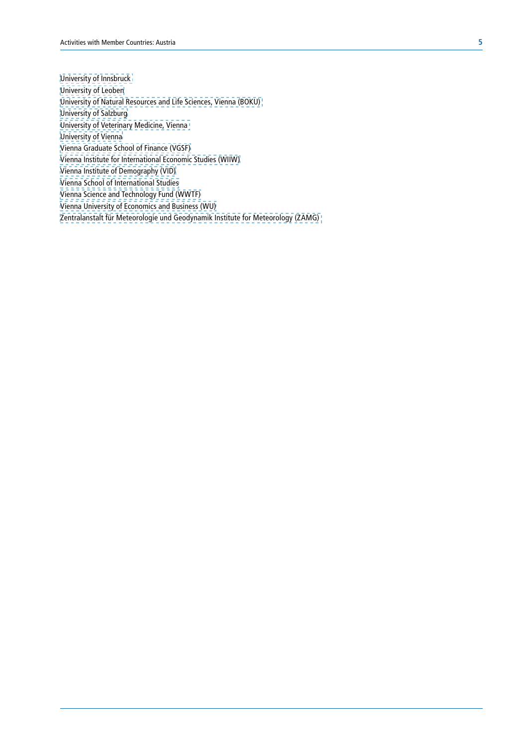[University of Innsbruck](https://www.uibk.ac.at/index.html.en)  [University of Leoben](https://www.unileoben.ac.at/en) [University of Natural Resources and Life Sciences, Vienna \(BOKU\)](https://www.boku.ac.at/en/)  [University of Salzburg](https://www.uni-salzburg.at/index.php%3Fid%3D52%26L%3D1) [University of Veterinary Medicine, Vienna](https://www.vetmeduni.ac.at/en/)  [University of Vienna](https://www.univie.ac.at/en/) [Vienna Graduate School of Finance \(VGSF\)](https://www.vgsf.ac.at/) [Vienna Institute for International Economic Studies \(WIIW\)](https://wiiw.ac.at/) [Vienna Institute of Demography \(VID\)](https://www.oeaw.ac.at/vid/) [Vienna School of International Studies](https://www.da-vienna.ac.at/en/) [Vienna Science and Technology Fund \(WWTF\)](https://www.wwtf.at/index.php%3Flang%3DEN) [Vienna University of Economics and Business \(WU\)](http://info.executiveacademy.at/%3Fgclid%3DEAIaIQobChMI2_G-wcfi2wIVCEAbCh20qA_uEAAYASAAEgJ7bvD_BwE) [Zentralanstalt für Meteorologie und Geodynamik Institute for Meteorology \(ZAMG\)](https://www.zamg.ac.at/cms/en/news)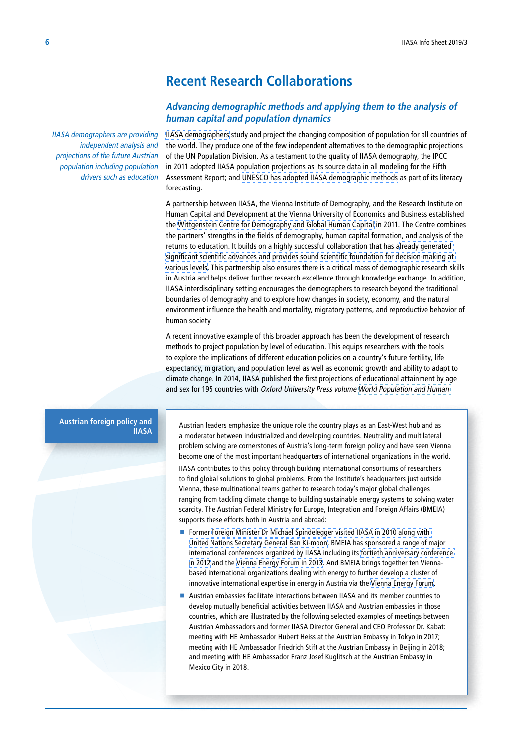# **Recent Research Collaborations**

# **Advancing demographic methods and applying them to the analysis of human capital and population dynamics**

IIASA demographers are providing independent analysis and projections of the future Austrian population including population drivers such as education

[IIASA demographers](http://www.iiasa.ac.at/web/home/research/researchPrograms/WorldPopulation/Introduction.html) study and project the changing composition of population for all countries of the world. They produce one of the few independent alternatives to the demographic projections of the UN Population Division. As a testament to the quality of IIASA demography, the IPCC in 2011 adopted IIASA population projections as its source data in all modeling for the Fifth Assessment Report; and [UNESCO has adopted IIASA demographic methods](http://www.iiasa.ac.at/web/home/research/researchPrograms/WorldPopulation/Research/ForecastsProjections/DemographyGlobalHumanCapital/demography_and_Global_Human_Capital.html) as part of its literacy forecasting.

A partnership between IIASA, the Vienna Institute of Demography, and the Research Institute on Human Capital and Development at the Vienna University of Economics and Business established the [Wittgenstein Centre for Demography and Global Human Capital](http://www.oeaw.ac.at/wic/) in 2011. The Centre combines the partners' strengths in the fields of demography, human capital formation, and analysis of the returns to education. It builds on a highly successful collaboration that has a[lready generated](http://www.iiasa.ac.at/publication/more_XO-13-002.php)  [significant scientific advances and provides sound scientific foundation for decision-making at](http://www.iiasa.ac.at/publication/more_XO-13-002.php)  [various levels.](http://www.iiasa.ac.at/publication/more_XO-13-002.php) This partnership also ensures there is a critical mass of demographic research skills in Austria and helps deliver further research excellence through knowledge exchange. In addition, IIASA interdisciplinary setting encourages the demographers to research beyond the traditional boundaries of demography and to explore how changes in society, economy, and the natural environment influence the health and mortality, migratory patterns, and reproductive behavior of human society.

A recent innovative example of this broader approach has been the development of research methods to project population by level of education. This equips researchers with the tools to explore the implications of different education policies on a country's future fertility, life expectancy, migration, and population level as well as economic growth and ability to adapt to climate change. In 2014, IIASA published the first projections of educational attainment by age and sex for 195 countries with Oxford University Press volume [World Population and Human](http://pure.iiasa.ac.at/id/eprint/11189/) 

#### **Austrian foreign policy and IIASA**

Austrian leaders emphasize the unique role the country plays as an East-West hub and as a moderator between industrialized and developing countries. Neutrality and multilateral problem solving are cornerstones of Austria's long-term foreign policy and have seen Vienna become one of the most important headquarters of international organizations in the world.

IIASA contributes to this policy through building international consortiums of researchers to find global solutions to global problems. From the Institute's headquarters just outside Vienna, these multinational teams gather to research today's major global challenges ranging from tackling climate change to building sustainable energy systems to solving water scarcity. The Austrian Federal Ministry for Europe, Integration and Foreign Affairs (BMEIA) supports these efforts both in Austria and abroad:

- Former Foreign Minister Dr Michael Spindelegger visited IIASA in 2010 along with [United Nations Secretary General Ban Ki-moon](http://webarchive.iiasa.ac.at/Admin/INF/PR/2010/2010-09-02.html). BMEIA has sponsored a range of major international conferences organized by IIASA including its [fortieth anniversary conference](http://conference2012.iiasa.ac.at/)  [in 2012](http://conference2012.iiasa.ac.at/) and the [Vienna Energy Forum in 2013](http://www.unido.org/en/news-centre/events/past-events/vienna-energy-forum-2013.html). And BMEIA brings together ten Viennabased international organizations dealing with energy to further develop a cluster of innovative international expertise in energy in Austria via the [Vienna Energy Forum](http://www.vienna-energy-club.at/).
- Austrian embassies facilitate interactions between IIASA and its member countries to develop mutually beneficial activities between IIASA and Austrian embassies in those countries, which are illustrated by the following selected examples of meetings between Austrian Ambassadors and former IIASA Director General and CEO Professor Dr. Kabat: meeting with HE Ambassador Hubert Heiss at the Austrian Embassy in Tokyo in 2017; meeting with HE Ambassador Friedrich Stift at the Austrian Embassy in Beijing in 2018; and meeting with HE Ambassador Franz Josef Kuglitsch at the Austrian Embassy in Mexico City in 2018.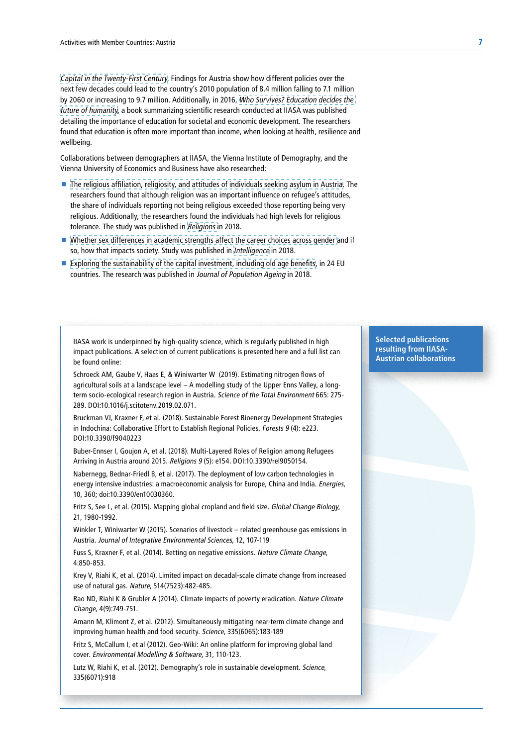[Capital in the Twenty-First Century](http://pure.iiasa.ac.at/id/eprint/11189/). Findings for Austria show how different policies over the next few decades could lead to the country's 2010 population of 8.4 million falling to 7.1 million by 2060 or increasing to 9.7 million. Additionally, in 2016, [Who Survives? Education decides the](http://www.iiasa.ac.at/web/home/about/news/160218-lutz-book.html)  [future of humanity](http://www.iiasa.ac.at/web/home/about/news/160218-lutz-book.html), a book summarizing scientific research conducted at IIASA was published detailing the importance of education for societal and economic development. The researchers found that education is often more important than income, when looking at health, resilience and wellbeing.

Collaborations between demographers at IIASA, the Vienna Institute of Demography, and the Vienna University of Economics and Business have also researched:

- [The religious affiliation, religiosity, and attitudes of individuals seeking asylum in Austria.](http://www.iiasa.ac.at/web/home/about/news/160923-pop-plos.html) The researchers found that although religion was an important influence on refugee's attitudes, the share of individuals reporting not being religious exceeded those reporting being very religious. Additionally, the researchers found the individuals had high levels for religious tolerance. The study was published in [Religions](http://www.mdpi.com/journal/religions) in 2018.
- [Whether sex differences in academic strengths affect the career choices across gender a](http://pure.iiasa.ac.at/id/eprint/15001/)nd if so, how that impacts society. Study was published in [Intelligence](https://www.journals.elsevier.com/intelligence) in 2018.
- [Exploring the sustainability of the capital investment, including old age benefits,](https://link.springer.com/article/10.1007%252Fs12062-018-9224-8) in 24 EU countries. The research was published in Journal of Population Ageing in 2018.

IIASA work is underpinned by high-quality science, which is regularly published in high impact publications. A selection of current publications is presented here and a full list can be found online:

Schroeck AM, Gaube V, Haas E, & Winiwarter W (2019). Estimating nitrogen flows of agricultural soils at a landscape level – A modelling study of the Upper Enns Valley, a longterm socio-ecological research region in Austria. Science of the Total Environment 665: 275-289. DOI:10.1016/j.scitotenv.2019.02.071.

Bruckman VJ, Kraxner F, et al. (2018). Sustainable Forest Bioenergy Development Strategies in Indochina: Collaborative Effort to Establish Regional Policies. Forests 9 (4): e223. DOI:10.3390/f9040223

Buber-Ennser I, Goujon A, et al. (2018). Multi-Layered Roles of Religion among Refugees Arriving in Austria around 2015. Religions 9 (5): e154. DOI:10.3390/rel9050154.

Nabernegg, Bednar-Friedl B, et al. (2017). The deployment of low carbon technologies in energy intensive industries: a macroeconomic analysis for Europe, China and India. Energies, 10, 360; doi:10.3390/en10030360.

Fritz S, See L, et al. (2015). Mapping global cropland and field size. Global Change Biology, 21, 1980-1992.

Winkler T, Winiwarter W (2015). Scenarios of livestock – related greenhouse gas emissions in Austria. Journal of Integrative Environmental Sciences, 12, 107-119

Fuss S, Kraxner F, et al. (2014). Betting on negative emissions. Nature Climate Change, 4:850-853.

Krey V, Riahi K, et al. (2014). Limited impact on decadal-scale climate change from increased use of natural gas. Nature, 514(7523):482-485.

Rao ND, Riahi K & Grubler A (2014). Climate impacts of poverty eradication. Nature Climate Change, 4(9):749-751.

Amann M, Klimont Z, et al. (2012). Simultaneously mitigating near-term climate change and improving human health and food security. Science, 335(6065):183-189

Fritz S, McCallum I, et al (2012). Geo-Wiki: An online platform for improving global land cover. Environmental Modelling & Software, 31, 110-123.

Lutz W, Riahi K, et al. (2012). Demography's role in sustainable development. Science, 335(6071):918

**Selected publications resulting from IIASA-Austrian collaborations**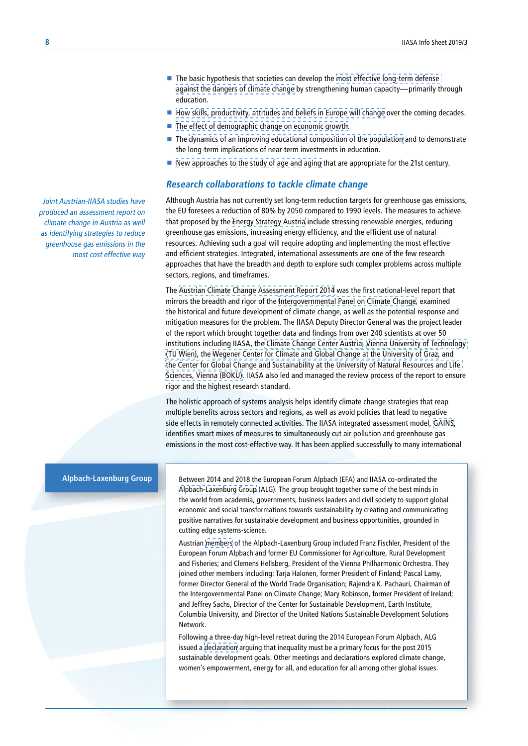- The basic hypothesis that societies can develop the most effective long-term defense [against the dangers of climate change](http://www.iiasa.ac.at/web/home/research/researchPrograms/WorldPopulation/Research/Adaptive_Capacity_to_Climate_Change.html) by strengthening human capacity—primarily through education.
- $\blacksquare$  [How skills, productivity, attitudes and beliefs in Europe will change](http://www.iiasa.ac.at/web/home/research/researchPrograms/WorldPopulation/Research/ACC/ACC.html) over the coming decades.
- [The effect of demographic change on economic growth](http://www.iiasa.ac.at/web/home/research/researchPrograms/WorldPopulation/Research/Economic_Performance.html).
- $\blacksquare$  The [dynamics of an improving educational composition of the population](http://www.iiasa.ac.at/web/home/research/researchPrograms/WorldPopulation/Research/ForecastsProjections/DemographyGlobalHumanCapital/demography_and_Global_Human_Capital.html) and to demonstrate the long-term implications of near-term investments in education.
- [New approaches to the study of age and aging](http://www.iiasa.ac.at/web/home/research/researchPrograms/WorldPopulation/Reaging/Re-Aging.html) that are appropriate for the 21st century.

#### **Research collaborations to tackle climate change**

Although Austria has not currently set long-term reduction targets for greenhouse gas emissions, the EU foresees a reduction of 80% by 2050 compared to 1990 levels. The measures to achieve that proposed by the [Energy Strategy Austria](file:///C:/Users/danaher/Downloads/Energy%2520Strategy%2520Austria%2520%28engl%2520Kurzfassung%29%2520%282%29.pdf) include stressing renewable energies, reducing greenhouse gas emissions, increasing energy efficiency, and the efficient use of natural resources. Achieving such a goal will require adopting and implementing the most effective and efficient strategies. Integrated, international assessments are one of the few research approaches that have the breadth and depth to explore such complex problems across multiple sectors, regions, and timeframes.

The [Austrian Climate Change Assessment Report 2014](https://www.ccca.ac.at/fileadmin/00.../Synopse_englisch_finaleversion_181214.pdf) was the first national‑level report that mirrors the breadth and rigor of the [Intergovernmental Panel on Climate Change](http://www.ipcc.ch/), examined the historical and future development of climate change, as well as the potential response and mitigation measures for the problem. The IIASA Deputy Director General was the project leader of the report which brought together data and findings from over 240 scientists at over 50 institutions including IIASA, th[e Climate Change Center Austria](https://www.ccca.ac.at/de/home/), [Vienna University of Technology](https://www.tuwien.ac.at/en/)  [\(TU Wien\),](https://www.tuwien.ac.at/en/) the [Wegener Center for Climate and Global Change at the University of Graz](https://wegcenter.uni-graz.at/en/), and [the Center for Global Change and Sustainability at the University of Natural Resources and Life](https://www.boku.ac.at/en/wissenschaftliche-initiativen/zentrum-fuer-globalen-wandel-nachhaltigkeit/)  [Sciences, Vienna \(BOKU\)](https://www.boku.ac.at/en/wissenschaftliche-initiativen/zentrum-fuer-globalen-wandel-nachhaltigkeit/). IIASA also led and managed the review process of the report to ensure rigor and the highest research standard.

The holistic approach of systems analysis helps identify climate change strategies that reap multiple benefits across sectors and regions, as well as avoid policies that lead to negative side effects in remotely connected activities. The IIASA integrated assessment model, [GAINS,](http://www.iiasa.ac.at/web/home/research/researchPrograms/air/GAINS.html) identifies smart mixes of measures to simultaneously cut air pollution and greenhouse gas emissions in the most cost-effective way. It has been applied successfully to many international

### **Alpbach-Laxenburg Group**

Between 2014 and 2018 the European Forum Alpbach (EFA) and IIASA co-ordinated the [Alpbach-Laxenburg Group](http://www.iiasa.ac.at/web/home/research/alg/Alpbach-Laxenburg-Group.html) (ALG). The group brought together some of the best minds in the world from academia, governments, business leaders and civil society to support global economic and social transformations towards sustainability by creating and communicating positive narratives for sustainable development and business opportunities, grounded in cutting edge systems-science.

Austrian [members](http://www.iiasa.ac.at/web/home/research/alg/members.html) of the Alpbach-Laxenburg Group included Franz Fischler, President of the European Forum Alpbach and former EU Commissioner for Agriculture, Rural Development and Fisheries; and Clemens Hellsberg, President of the Vienna Philharmonic Orchestra. They joined other members including: Tarja Halonen, former President of Finland; Pascal Lamy, former Director General of the World Trade Organisation; Rajendra K. Pachauri, Chairman of the Intergovernmental Panel on Climate Change; Mary Robinson, former President of Ireland; and Jeffrey Sachs, Director of the Center for Sustainable Development, Earth Institute, Columbia University, and Director of the United Nations Sustainable Development Solutions Network.

Following a three-day high-level retreat during the 2014 European Forum Alpbach, ALG issued a [declaration](http://www.iiasa.ac.at/web/home/research/alg/alg-declaration-2014.html) arguing that inequality must be a primary focus for the post 2015 sustainable development goals. Other meetings and declarations explored climate change, women's empowerment, energy for all, and education for all among other global issues.

Joint Austrian-IIASA studies have produced an assessment report on climate change in Austria as well as identifying strategies to reduce greenhouse gas emissions in the most cost effective way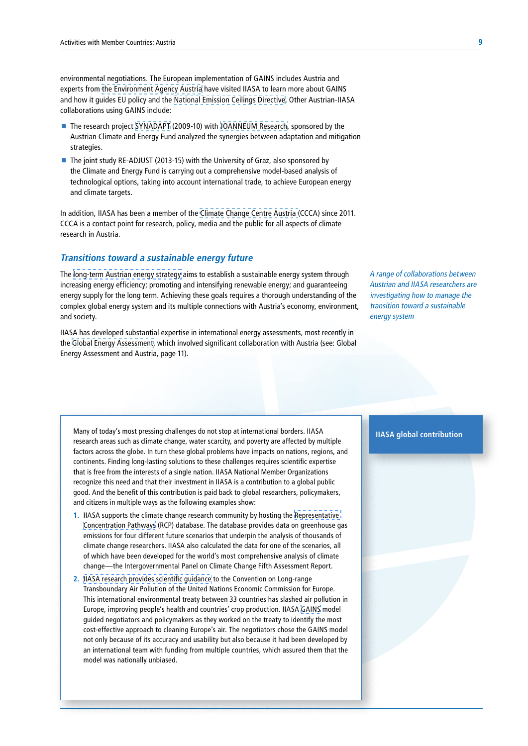environmental negotiations. The European implementation of GAINS includes Austria and experts from [the Environment Agency Austria](http://www.umweltbundesamt.at/en/) have visited IIASA to learn more about GAINS and how it guides EU policy and the [National Emission Ceilings Directive.](https://www.eea.europa.eu/themes/air/national-emission-ceilings/national-emission-ceilings-directive) Other Austrian-IIASA collaborations using GAINS include:

- The research project [SYNADAPT](http://www.klimawandelanpassung.at/ms/klimawandelanpassung/de/kwa_news/kwa_forschung/kwa_synadapt/) (2009-10) with [JOANNEUM Research](https://www.joanneum.at/), sponsored by the Austrian Climate and Energy Fund analyzed the synergies between adaptation and mitigation strategies.
- The joint study RE-ADJUST (2013-15) with the University of Graz, also sponsored by the Climate and Energy Fund is carrying out a comprehensive model-based analysis of technological options, taking into account international trade, to achieve European energy and climate targets.

In addition, IIASA has been a member of the [Climate Change Centre Austria \(](https://www.ccca.ac.at/de/home/)CCCA) since 2011. CCCA is a contact point for research, policy, media and the public for all aspects of climate research in Austria.

### **Transitions toward a sustainable energy future**

The [long-term Austrian energy strategy](http://www.bmlfuw.gv.at/en/fields/environment/renewableenergy/Energystrategy.html) aims to establish a sustainable energy system through increasing energy efficiency; promoting and intensifying renewable energy; and guaranteeing energy supply for the long term. Achieving these goals requires a thorough understanding of the complex global energy system and its multiple connections with Austria's economy, environment, and society.

IIASA has developed substantial expertise in international energy assessments, most recently in the [Global Energy Assessment](http://www.globalenergyassessment.org/), which involved significant collaboration with Austria (see: Global Energy Assessment and Austria, page 11).

A range of collaborations between Austrian and IIASA researchers are investigating how to manage the transition toward a sustainable energy system

Many of today's most pressing challenges do not stop at international borders. IIASA research areas such as climate change, water scarcity, and poverty are affected by multiple factors across the globe. In turn these global problems have impacts on nations, regions, and continents. Finding long-lasting solutions to these challenges requires scientific expertise that is free from the interests of a single nation. IIASA National Member Organizations recognize this need and that their investment in IIASA is a contribution to a global public good. And the benefit of this contribution is paid back to global researchers, policymakers, and citizens in multiple ways as the following examples show:

- **1.** IIASA supports the climate change research community by hosting the [Representative](http://www.iiasa.ac.at/web/home/research/modelsData/RCPDatabase/RCP.en.html)  [Concentration Pathways](http://www.iiasa.ac.at/web/home/research/modelsData/RCPDatabase/RCP.en.html) (RCP) database. The database provides data on greenhouse gas emissions for four different future scenarios that underpin the analysis of thousands of climate change researchers. IIASA also calculated the data for one of the scenarios, all of which have been developed for the world's most comprehensive analysis of climate change—the Intergovernmental Panel on Climate Change Fifth Assessment Report.
- **2.** [IIASA research provides scientific guidance](http://www.iiasa.ac.at/web/home/about/achievments/scientificachievementsandpolicyimpact/cleaningeuropeair/Cleaning-Europe-s-air1.en.html) to the Convention on Long-range Transboundary Air Pollution of the United Nations Economic Commission for Europe. This international environmental treaty between 33 countries has slashed air pollution in Europe, improving people's health and countries' crop production. IIASA [GAINS](http://www.iiasa.ac.at/web/home/research/modelsData/GAINS/GAINS.en.html) model guided negotiators and policymakers as they worked on the treaty to identify the most cost-effective approach to cleaning Europe's air. The negotiators chose the GAINS model not only because of its accuracy and usability but also because it had been developed by an international team with funding from multiple countries, which assured them that the model was nationally unbiased.

#### **IIASA global contribution**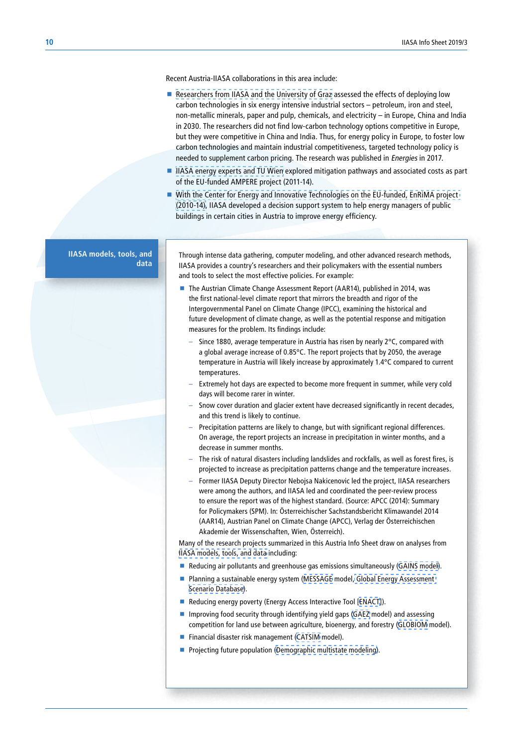Recent Austria-IIASA collaborations in this area include:

- [Researchers from IIASA and the University of Graz](http://www.mdpi.com/1996-1073/10/3/360) assessed the effects of deploying low carbon technologies in six energy intensive industrial sectors – petroleum, iron and steel, non-metallic minerals, paper and pulp, chemicals, and electricity – in Europe, China and India in 2030. The researchers did not find low-carbon technology options competitive in Europe, but they were competitive in China and India. Thus, for energy policy in Europe, to foster low carbon technologies and maintain industrial competitiveness, targeted technology policy is needed to supplement carbon pricing. The research was published in Energies in 2017.
- [IIASA energy experts and TU Wien](http://www.iiasa.ac.at/web/home/research/researchProjects/AMPERE/AMPERE.en.html) explored mitigation pathways and associated costs as part of the EU-funded AMPERE project (2011-14).
- With the Center for Energy and Innovative Technologies on the EU-funded, EnRiMA project [\(2010-14\),](http://www.iiasa.ac.at/web/home/research/researchPrograms/AdvancedSystemsAnalysis/Enrima.html) IIASA developed a decision support system to help energy managers of public buildings in certain cities in Austria to improve energy efficiency.

**IIASA models, tools, and data** 

Through intense data gathering, computer modeling, and other advanced research methods, IIASA provides a country's researchers and their policymakers with the essential numbers and tools to select the most effective policies. For example:

- The Austrian Climate Change Assessment Report (AAR14), published in 2014, was the first national-level climate report that mirrors the breadth and rigor of the Intergovernmental Panel on Climate Change (IPCC), examining the historical and future development of climate change, as well as the potential response and mitigation measures for the problem. Its findings include:
	- Since 1880, average temperature in Austria has risen by nearly  $2^{\circ}$ C, compared with a global average increase of 0.85°C. The report projects that by 2050, the average temperature in Austria will likely increase by approximately 1.4°C compared to current temperatures.
	- Extremely hot days are expected to become more frequent in summer, while very cold days will become rarer in winter.
	- Snow cover duration and glacier extent have decreased significantly in recent decades, and this trend is likely to continue.
	- Precipitation patterns are likely to change, but with significant regional differences. On average, the report projects an increase in precipitation in winter months, and a decrease in summer months.
	- The risk of natural disasters including landslides and rockfalls, as well as forest fires, is projected to increase as precipitation patterns change and the temperature increases.
	- Former IIASA Deputy Director Nebojsa Nakicenovic led the project, IIASA researchers were among the authors, and IIASA led and coordinated the peer-review process to ensure the report was of the highest standard. (Source: APCC (2014): Summary for Policymakers (SPM). In: Österreichischer Sachstandsbericht Klimawandel 2014 (AAR14), Austrian Panel on Climate Change (APCC), Verlag der Österreichischen Akademie der Wissenschaften, Wien, Österreich).

Many of the research projects summarized in this Austria Info Sheet draw on analyses from [IIASA models, tools, and data](http://www.iiasa.ac.at/models/) including:

- Reducing air pollutants and greenhouse gas emissions simultaneously [\(GAINS model](http://www.iiasa.ac.at/web/home/research/modelsData/GAINS/GAINS.en.html)).
- **Planning a sustainable energy system [\(MESSAGE](http://www.iiasa.ac.at/web/home/research/modelsData/MESSAGE/MESSAGE.en.html) model, Global Energy Assessment** [Scenario Database\)](http://www.iiasa.ac.at/web/home/research/modelsData/Global-Energy-Assessment-Database.en.html).
- Reducing energy poverty (Energy Access Interactive Tool [\[ENACT](http://www.iiasa.ac.at/web/home/research/modelsData/Energy-Access-Interactive-Tool.en.html)]).
- Improving food security through identifying yield gaps [\(GAEZ](http://www.iiasa.ac.at/web/home/research/modelsData/GAEZ/GAEZ.en.html) model) and assessing competition for land use between agriculture, bioenergy, and forestry ([GLOBIOM](http://www.iiasa.ac.at/web/home/research/modelsData/GLOBIOM/GLOBIOM.en.html) model).
- Financial disaster risk management [\(CATSIM](http://www.iiasa.ac.at/web/home/research/modelsData/CATSIM/CATSIM.en.html) model).
- **Projecting future population ([Demographic multistate modeling\)](http://www.iiasa.ac.at/web/home/research/modelsData/PopulationProjections/POP.en.html).**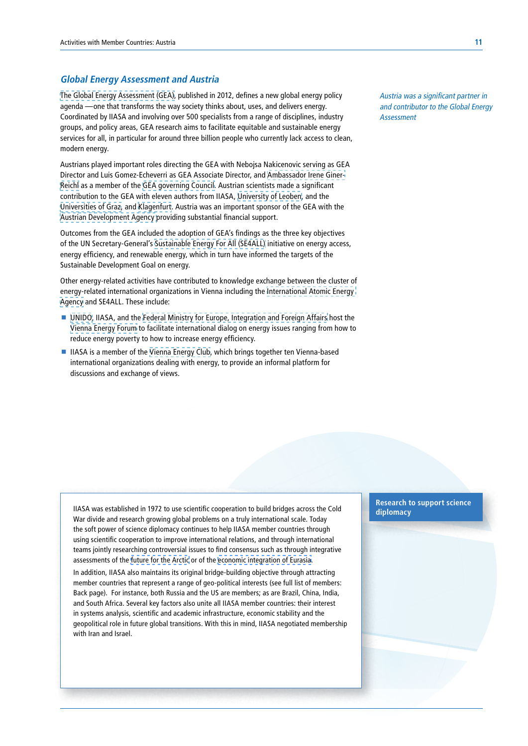#### **Global Energy Assessment and Austria**

[The Global Energy Assessment \(GEA\),](http://www.iiasa.ac.at/web/home/research/Flagship-Projects/Global-Energy-Assessment/Home-GEA.en.html) published in 2012, defines a new global energy policy agenda —one that transforms the way society thinks about, uses, and delivers energy. Coordinated by IIASA and involving over 500 specialists from a range of disciplines, industry groups, and policy areas, GEA research aims to facilitate equitable and sustainable energy services for all, in particular for around three billion people who currently lack access to clean, modern energy.

Austrians played important roles directing the GEA with Nebojsa Nakicenovic serving as GEA Director and Luis Gomez-Echeverri as GEA Associate Director, and [Ambassador Irene Giner-](https://www.viennaenergyforum.org/content/irene-giner-reichl-0)[Reichl](https://www.viennaenergyforum.org/content/irene-giner-reichl-0) as a member of the [GEA governing Council.](http://www.iiasa.ac.at/web/home/research/Flagship-Projects/Global-Energy-Assessment/GEA-Council.en.html) Austrian scientists made a significant contribution to the GEA with eleven authors from IIASA, [University of Leoben](https://www.unileoben.ac.at/en), and the [Universities of Graz](https://www.uni-graz.at/en/), and [Klagenfurt](https://www.aau.at/en/). Austria was an important sponsor of the GEA with the [Austrian Development Agency](https://www.entwicklung.at/en/) providing substantial financial support.

Outcomes from the GEA included the adoption of GEA's findings as the three key objectives of the UN Secretary‑General's [Sustainable Energy For All \(SE4ALL\)](https://www.seforall.org/) initiative on energy access, energy efficiency, and renewable energy, which in turn have informed the targets of the Sustainable Development Goal on energy.

Other energy-related activities have contributed to knowledge exchange between the cluster of energy‑related international organizations in Vienna including the [International Atomic Energy](https://www.iaea.org/)  [Agency](https://www.iaea.org/) and SE4ALL. These include:

- [UNIDO,](https://www.unido.org/) IIASA, and the [Federal Ministry for Europe, Integration and Foreign Affairs](https://www.bmeia.gv.at/en/) host the [Vienna Energy Forum](https://www.viennaenergyforum.org/) to facilitate international dialog on energy issues ranging from how to reduce energy poverty to how to increase energy efficiency.
- IIASA is a member of the [Vienna Energy Club](http://www.vienna-energy-club.at/), which brings together ten Vienna-based international organizations dealing with energy, to provide an informal platform for discussions and exchange of views.

Austria was a significant partner in and contributor to the Global Energy **Assessment** 

IIASA was established in 1972 to use scientific cooperation to build bridges across the Cold War divide and research growing global problems on a truly international scale. Today the soft power of science diplomacy continues to help IIASA member countries through using scientific cooperation to improve international relations, and through international teams jointly researching controversial issues to find consensus such as through integrative assessments of the future for the Arctic or of the economic integration of Eurasia.

In addition, IIASA also maintains its original bridge-building objective through attracting member countries that represent a range of geo-political interests (see full list of members: Back page). For instance, both Russia and the US are members; as are Brazil, China, India, and South Africa. Several key factors also unite all IIASA member countries: their interest in systems analysis, scientific and academic infrastructure, economic stability and the geopolitical role in future global transitions. With this in mind, IIASA negotiated membership with Iran and Israel.

**Research to support science diplomacy**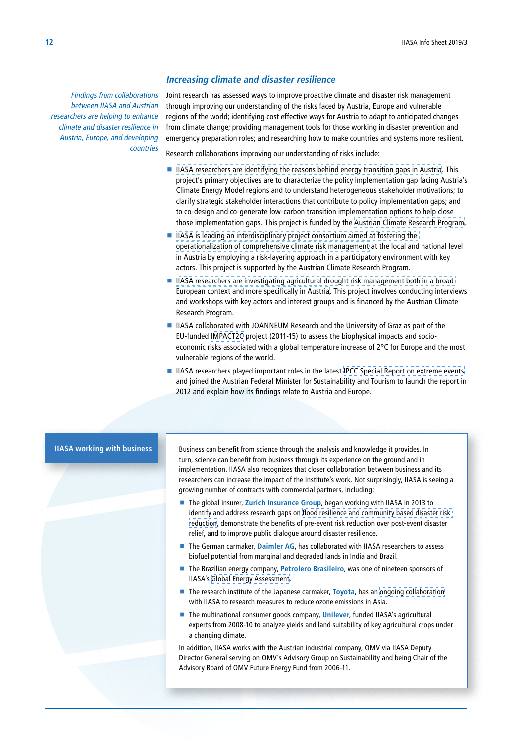#### **Increasing climate and disaster resilience**

Findings from collaborations between IIASA and Austrian researchers are helping to enhance climate and disaster resilience in Austria, Europe, and developing countries

Joint research has assessed ways to improve proactive climate and disaster risk management through improving our understanding of the risks faced by Austria, Europe and vulnerable regions of the world; identifying cost effective ways for Austria to adapt to anticipated changes from climate change; providing management tools for those working in disaster prevention and emergency preparation roles; and researching how to make countries and systems more resilient.

Research collaborations improving our understanding of risks include:

- [IIASA researchers are identifying the reasons behind energy transition gaps in Austria](http://www.iiasa.ac.at/web/home/research/researchPrograms/RISK/CoDesign.html). This project's primary objectives are to characterize the policy implementation gap facing Austria's Climate Energy Model regions and to understand heterogeneous stakeholder motivations; to clarify strategic stakeholder interactions that contribute to policy implementation gaps; and to co-design and co-generate low-carbon transition implementation options to help close those implementation gaps. This project is funded by the [Austrian Climate Research Program.](https://www.klimafonds.gv.at/foerderungen/aktuelle-foerderungen/2016/austrian-climate-research-programme-3/)
- IIASA is leading an interdisciplinary project consortium aimed at fostering the [operationalization of comprehensive climate risk management](http://www.iiasa.ac.at/web/home/research/researchPrograms/RISK/RESPECT.html) at the local and national level in Austria by employing a risk-layering approach in a participatory environment with key actors. This project is supported by the Austrian Climate Research Program.
- **IIASA researchers are investigating agricultural drought risk management both in a broad** [European context and more specifically in Austria.](http://www.iiasa.ac.at/web/home/research/researchPrograms/RISK/Farmers_and_Risk_Management.html) This project involves conducting interviews and workshops with key actors and interest groups and is financed by the Austrian Climate Research Program.
- IIASA collaborated with JOANNEUM Research and the University of Graz as part of the EU-funded [IMPACT2C](http://www.iiasa.ac.at/web/home/research/researchPrograms/EcosystemsServicesandManagement/IMPACT2C.en.html) project (2011-15) to assess the biophysical impacts and socioeconomic risks associated with a global temperature increase of 2°C for Europe and the most vulnerable regions of the world.
- IIASA researchers played important roles in the latest IPCC Special Report on extreme events and joined the Austrian Federal Minister for Sustainability and Tourism to launch the report in 2012 and explain how its findings relate to Austria and Europe.

**IIASA working with business** 

Business can benefit from science through the analysis and knowledge it provides. In turn, science can benefit from business through its experience on the ground and in implementation. IIASA also recognizes that closer collaboration between business and its researchers can increase the impact of the Institute's work. Not surprisingly, IIASA is seeing a growing number of contracts with commercial partners, including:

- The global insurer, **Zurich Insurance Group**, began working with IIASA in 2013 to identify and address research gaps on [flood resilience and community based disaster risk](http://www.iiasa.ac.at/web/home/about/news/RPV_Zurich.en.html)  [reduction,](http://www.iiasa.ac.at/web/home/about/news/RPV_Zurich.en.html) demonstrate the benefits of pre-event risk reduction over post-event disaster relief, and to improve public dialogue around disaster resilience.
- The German carmaker, **Daimler AG**, has collaborated with IIASA researchers to assess biofuel potential from marginal and degraded lands in India and Brazil.
- The Brazilian energy company, Petrolero Brasileiro, was one of nineteen sponsors of IIASA's [Global Energy Assessment](http://www.iiasa.ac.at/web/home/research/Flagship-Projects/Global-Energy-Assessment/GEA-Council.en.html).
- The research institute of the Japanese carmaker, **Toyota**, has an [ongoing collaboration](http://www.iiasa.ac.at/publication/more_XO-11-053.php) with IIASA to research measures to reduce ozone emissions in Asia.
- The multinational consumer goods company, *Unilever*, funded IIASA's agricultural experts from 2008-10 to analyze yields and land suitability of key agricultural crops under a changing climate.

In addition, IIASA works with the Austrian industrial company, OMV via IIASA Deputy Director General serving on OMV's Advisory Group on Sustainability and being Chair of the Advisory Board of OMV Future Energy Fund from 2006-11.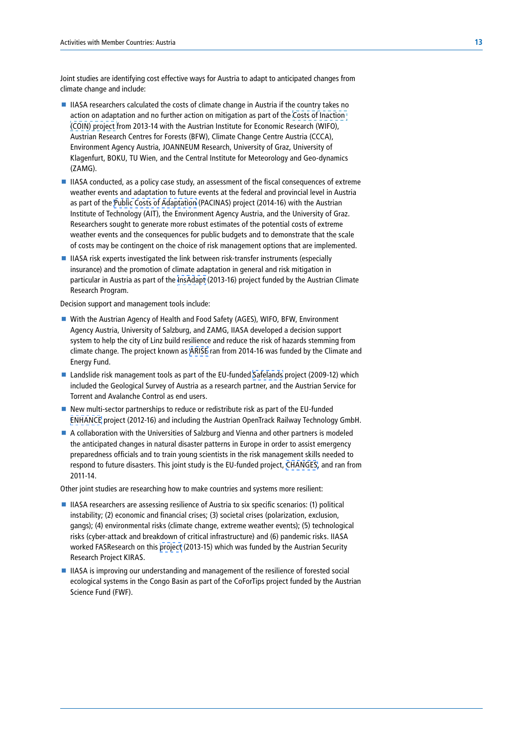Joint studies are identifying cost effective ways for Austria to adapt to anticipated changes from climate change and include:

- IIASA researchers calculated the costs of climate change in Austria if the country takes no action on adaptation and no further action on mitigation as part of the [Costs of Inaction](http://coin.ccca.ac.at/)  [\(COIN\) project f](http://coin.ccca.ac.at/)rom 2013‑14 with the Austrian Institute for Economic Research (WIFO), Austrian Research Centres for Forests (BFW), Climate Change Centre Austria (CCCA), Environment Agency Austria, JOANNEUM Research, University of Graz, University of Klagenfurt, BOKU, TU Wien, and the Central Institute for Meteorology and Geo‑dynamics (ZAMG).
- IIASA conducted, as a policy case study, an assessment of the fiscal consequences of extreme weather events and adaptation to future events at the federal and provincial level in Austria as part of the [Public Costs of Adaptation](http://www.iiasa.ac.at/web/home/research/researchPrograms/RiskPolicyandVulnerability/PACINAS.html) (PACINAS) project (2014-16) with the Austrian Institute of Technology (AIT), the Environment Agency Austria, and the University of Graz. Researchers sought to generate more robust estimates of the potential costs of extreme weather events and the consequences for public budgets and to demonstrate that the scale of costs may be contingent on the choice of risk management options that are implemented.
- $\blacksquare$  IIASA risk experts investigated the link between risk-transfer instruments (especially insurance) and the promotion of climate adaptation in general and risk mitigation in particular in Austria as part of the [InsAdapt](http://www.iiasa.ac.at/web/home/research/researchPrograms/RiskPolicyandVulnerability/InsAdapt.html) (2013-16) project funded by the Austrian Climate Research Program.

Decision support and management tools include:

- With the Austrian Agency of Health and Food Safety (AGES), WIFO, BFW, Environment Agency Austria, University of Salzburg, and ZAMG, IIASA developed a decision support system to help the city of Linz build resilience and reduce the risk of hazards stemming from climate change. The project known as [ARISE](https://www.klimafonds.gv.at/assets/Uploads/Projektberichte/ACRP-2013/03062014ARISEAngela-Michiko-HamaZBACRP-6B368644.pdf) ran from 2014-16 was funded by the Climate and Energy Fund.
- Landslide risk management tools as part of the EU-funded [Safelands](http://www.iiasa.ac.at/web/home/research/researchProjects/Safeland/SafeLand.html) project (2009-12) which included the Geological Survey of Austria as a research partner, and the Austrian Service for Torrent and Avalanche Control as end users.
- New multi-sector partnerships to reduce or redistribute risk as part of the EU-funded [ENHANCE](http://www.iiasa.ac.at/web/home/research/researchPrograms/RiskPolicyandVulnerability/Enhance.en.html) project (2012-16) and including the Austrian OpenTrack Railway Technology GmbH.
- A collaboration with the Universities of Salzburg and Vienna and other partners is modeled the anticipated changes in natural disaster patterns in Europe in order to assist emergency preparedness officials and to train young scientists in the risk management skills needed to respond to future disasters. This joint study is the EU-funded project, [CHANGES](http://www.iiasa.ac.at/web/home/research/researchPrograms/RiskPolicyandVulnerability/CHANGES.en.html), and ran from 2011-14.

Other joint studies are researching how to make countries and systems more resilient:

- IIASA researchers are assessing resilience of Austria to six specific scenarios: (1) political instability; (2) economic and financial crises; (3) societal crises (polarization, exclusion, gangs); (4) environmental risks (climate change, extreme weather events); (5) technological risks (cyber-attack and breakdown of critical infrastructure) and (6) pandemic risks. IIASA worked FASResearch on this [project](http://www.iiasa.ac.at/web/home/research/researchPrograms/AdvancedSystemsAnalysis/KIRAS.html) (2013-15) which was funded by the Austrian Security Research Project KIRAS.
- **IIASA** is improving our understanding and management of the resilience of forested social ecological systems in the Congo Basin as part of the CoForTips project funded by the Austrian Science Fund (FWF).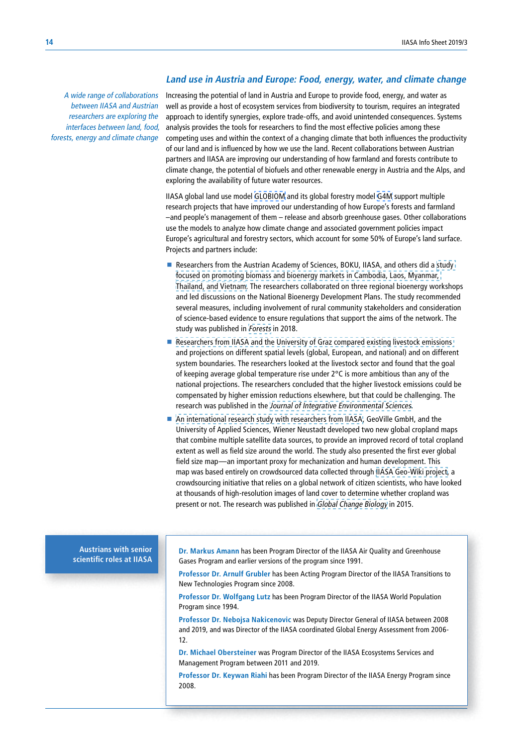#### **Land use in Austria and Europe: Food, energy, water, and climate change**

A wide range of collaborations between IIASA and Austrian researchers are exploring the interfaces between land, food, forests, energy and climate change Increasing the potential of land in Austria and Europe to provide food, energy, and water as well as provide a host of ecosystem services from biodiversity to tourism, requires an integrated approach to identify synergies, explore trade-offs, and avoid unintended consequences. Systems analysis provides the tools for researchers to find the most effective policies among these competing uses and within the context of a changing climate that both influences the productivity of our land and is influenced by how we use the land. Recent collaborations between Austrian partners and IIASA are improving our understanding of how farmland and forests contribute to climate change, the potential of biofuels and other renewable energy in Austria and the Alps, and exploring the availability of future water resources.

IIASA global land use model [GLOBIOM](http://www.iiasa.ac.at/web/home/research/modelsData/GLOBIOM/GLOBIOM.en.html) and its global forestry model [G4M](http://www.iiasa.ac.at/web/home/research/modelsData/G4M.en.html) support multiple research projects that have improved our understanding of how Europe's forests and farmland –and people's management of them – release and absorb greenhouse gases. Other collaborations use the models to analyze how climate change and associated government policies impact Europe's agricultural and forestry sectors, which account for some 50% of Europe's land surface. Projects and partners include:

- Researchers from the Austrian Academy of Sciences, BOKU, IIASA, and others did a study [focused on promoting biomass and bioenergy markets in Cambodia, Laos, Myanmar,](http://pure.iiasa.ac.at/id/eprint/15276/)  [Thailand, and Vietnam.](http://pure.iiasa.ac.at/id/eprint/15276/) The researchers collaborated on three regional bioenergy workshops and led discussions on the National Bioenergy Development Plans. The study recommended several measures, including involvement of rural community stakeholders and consideration of science-based evidence to ensure regulations that support the aims of the network. The study was published in [Forests](http://www.mdpi.com/journal/forests) in 2018.
- Researchers from IIASA and the University of Graz compared existing livestock emissions and projections on different spatial levels (global, European, and national) and on different system boundaries. The researchers looked at the livestock sector and found that the goal of keeping average global temperature rise under 2°C is more ambitious than any of the national projections. The researchers concluded that the higher livestock emissions could be compensated by higher emission reductions elsewhere, but that could be challenging. The research was published in the [Journal of Integrative Environmental Sciences](https://www.tandfonline.com/toc/nens20/current).
- [An international research study with researchers from IIASA](http://www.iiasa.ac.at/web/home/about/news/150116-Cropland-Maps.html), GeoVille GmbH, and the University of Applied Sciences, Wiener Neustadt developed two new global cropland maps that combine multiple satellite data sources, to provide an improved record of total cropland extent as well as field size around the world. The study also presented the first ever global field size map—an important proxy for mechanization and human development. This map was based entirely on crowdsourced data collected through [IIASA Geo-Wiki project,](http://www.iiasa.ac.at/web/home/research/researchPrograms/EcosystemsServicesandManagement/Geo-Wiki.en.html) a crowdsourcing initiative that relies on a global network of citizen scientists, who have looked at thousands of high-resolution images of land cover to determine whether cropland was present or not. The research was published in [Global Change Biology](https://onlinelibrary.wiley.com/journal/13652486) in 2015.

**Austrians with senior scientific roles at IIASA** **Dr. Markus Amann** has been Program Director of the IIASA Air Quality and Greenhouse Gases Program and earlier versions of the program since 1991.

**Professor Dr. Arnulf Grubler** has been Acting Program Director of the IIASA Transitions to New Technologies Program since 2008.

**Professor Dr. Wolfgang Lutz** has been Program Director of the IIASA World Population Program since 1994.

**Professor Dr. Nebojsa Nakicenovic** was Deputy Director General of IIASA between 2008 and 2019, and was Director of the IIASA coordinated Global Energy Assessment from 2006-12.

**Dr. Michael Obersteiner** was Program Director of the IIASA Ecosystems Services and Management Program between 2011 and 2019.

**Professor Dr. Keywan Riahi** has been Program Director of the IIASA Energy Program since 2008.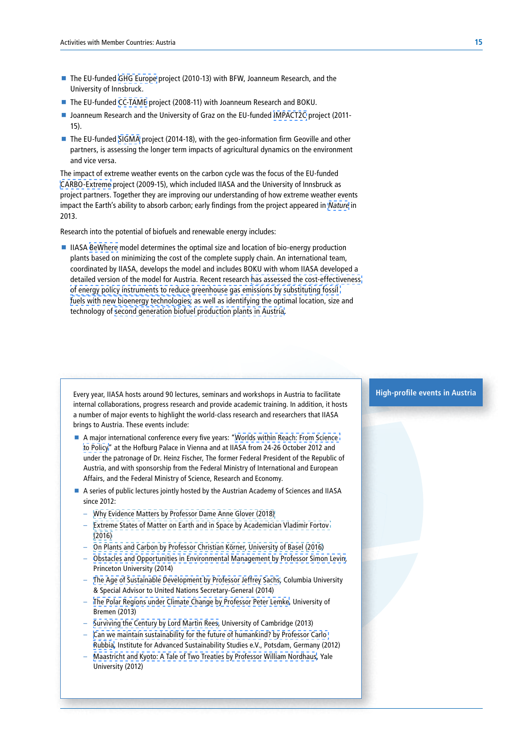- The EU-funded [GHG Europe](http://www.ghg-europe.eu/) project (2010-13) with BFW, Joanneum Research, and the University of Innsbruck.
- The EU-funded [CC-TAME](http://www.iiasa.ac.at/web/home/research/researchPrograms/EcosystemsServicesandManagement/CC-TAME.en.html) project (2008-11) with Joanneum Research and BOKU.
- Joanneum Research and the University of Graz on the EU-funded [IMPACT2C](http://www.iiasa.ac.at/web/home/research/researchPrograms/EcosystemsServicesandManagement/IMPACT2C.en.html) project (2011-15).
- The EU-funded [SIGMA](http://www.iiasa.ac.at/web/home/research/researchPrograms/EcosystemsServicesandManagement/SIGMA.html) project (2014-18), with the geo-information firm Geoville and other partners, is assessing the longer term impacts of agricultural dynamics on the environment and vice versa.

The impact of extreme weather events on the carbon cycle was the focus of the EU-funded [CARBO-Extreme](http://www.carbo-extreme.eu/) project (2009-15), which included IIASA and the University of Innsbruck as project partners. Together they are improving our understanding of how extreme weather events impact the Earth's ability to absorb carbon; early findings from the project appeared in [Nature](http://www.iiasa.ac.at/web/home/about/news/Nature__Climate_Extremes_and_the_Carbon_Cycle.en.html) in 2013.

Research into the potential of biofuels and renewable energy includes:

■ IIASA [BeWhere](http://www.iiasa.ac.at/web/home/research/researchPrograms/EcosystemsServicesandManagement/BeWhere-Description.html) model determines the optimal size and location of bio-energy production plants based on minimizing the cost of the complete supply chain. An international team, coordinated by IIASA, develops the model and includes BOKU with whom IIASA developed a detailed version of the model for Austria. Recent research [has assessed the cost-effectiveness](http://foix21.iiasa.ac.at/publication/more_XJ-11-046.php)  [of energy policy instruments to reduce greenhouse gas emissions by substituting fossil](http://foix21.iiasa.ac.at/publication/more_XJ-11-046.php)  [fuels with new bioenergy technologies;](http://foix21.iiasa.ac.at/publication/more_XJ-11-046.php) as well as identifying the optimal location, size and technology of [second generation biofuel production plants in Austria.](http://www.redd-pac.org/papers/others/havlik_biofuels_energy_policy_2011.pdf)

Every year, IIASA hosts around 90 lectures, seminars and workshops in Austria to facilitate internal collaborations, progress research and provide academic training. In addition, it hosts a number of major events to highlight the world-class research and researchers that IIASA brings to Austria. These events include:

- A major international conference every five years: ["Worlds within Reach: From Science](http://conference2012.iiasa.ac.at/)  [to Policy](http://conference2012.iiasa.ac.at/)" at the Hofburg Palace in Vienna and at IIASA from 24-26 October 2012 and under the patronage of Dr. Heinz Fischer, The former Federal President of the Republic of Austria, and with sponsorship from the Federal Ministry of International and European Affairs, and the Federal Ministry of Science, Research and Economy.
- A series of public lectures jointly hosted by the Austrian Academy of Sciences and IIASA since 2012·
	- [Why Evidence Matters by Professor Dame Anne Glover \(2018\)](http://www.iiasa.ac.at/web/home/about/events/180624-Glover_Kabat_Lecture.html)
	- [Extreme States of Matter on Earth and in Space by Academician Vladimir Fortov](http://www.iiasa.ac.at/web/home/about/events/160913-Fortov_Lecture.html)  [\(2016\)](http://www.iiasa.ac.at/web/home/about/events/160913-Fortov_Lecture.html)
	- [On Plants and Carbon by Professor Christian Körner, University of Basel \(2016](http://www.iiasa.ac.at/web/home/about/events/160606-Komarek.html))
	- [Obstacles and Opportunities in Environmental Management by Professor Simon Levin](http://www.iiasa.ac.at/web/home/about/events/20141110-IIASA-OeAW-Public-Lecture-Series-5.html), Princeton University (2014)
	- [The Age of Sustainable Development by Professor Jeffrey Sachs,](http://www.iiasa.ac.at/web/home/about/events/20140312-IIASA-OeAW-Public-Lecture-Series-4.html) Columbia University & Special Advisor to United Nations Secretary-General (2014)
	- [The Polar Regions under Climate Change by Professor Peter Lemke](http://www.iiasa.ac.at/web/home/about/events/upcomingevents/IIASA-OeAW-Public-Lecture-Series-3.en.html), University of Bremen (2013)
	- [Surviving the Century by Lord Martin Rees,](http://www.iiasa.ac.at/web/home/about/events/upcomingevents/IIASA-OeAW-Public-Lecture-Series.en.html) University of Cambridge (2013)
	- [Can we maintain sustainability for the future of humankind? by Professor Carlo](http://www.iiasa.ac.at/web/home/about/events/upcomingevents/iiasa-oeaw-25-october-lecture.en.html)  [Rubbia,](http://www.iiasa.ac.at/web/home/about/events/upcomingevents/iiasa-oeaw-25-october-lecture.en.html) Institute for Advanced Sustainability Studies e.V., Potsdam, Germany (2012)
	- [Maastricht and Kyoto: A Tale of Two Treaties by Professor William Nordhaus](http://www.iiasa.ac.at/web/home/about/events/upcomingevents/iiasa-oeaw-25-october-lecture.en.html), Yale University (2012)

# **High-profile events in Austria**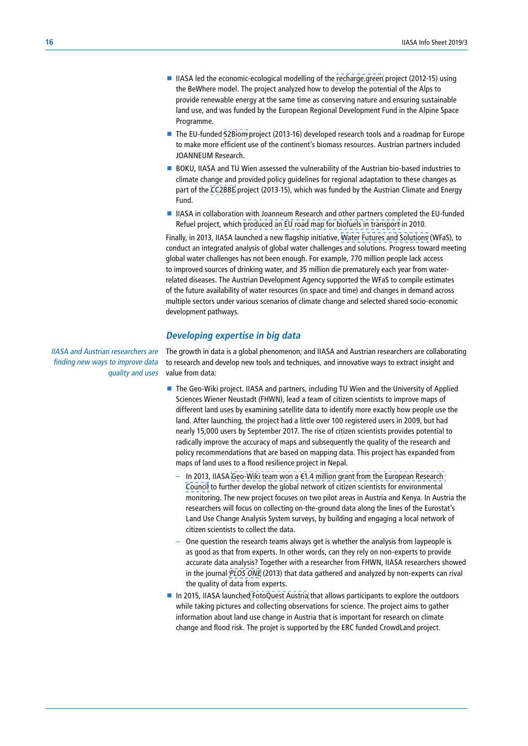- IIASA led the economic-ecological modelling of the [recharge.green](http://foix21.iiasa.ac.at/web/home/research/researchPrograms/EcosystemsServicesandManagement/rechargegreen/recharge-green.html) project (2012-15) using the BeWhere model. The project analyzed how to develop the potential of the Alps to provide renewable energy at the same time as conserving nature and ensuring sustainable land use, and was funded by the European Regional Development Fund in the Alpine Space Programme.
- The EU-funded [S2Biom](http://www.iiasa.ac.at/web/home/research/researchPrograms/EcosystemsServicesandManagement/S2Biom.en.html) project (2013-16) developed research tools and a roadmap for Europe to make more efficient use of the continent's biomass resources. Austrian partners included JOANNEUM Research.
- BOKU, IIASA and TU Wien assessed the vulnerability of the Austrian bio-based industries to climate change and provided policy guidelines for regional adaptation to these changes as part of the [CC2BBE](https://www.klimafonds.gv.at/assets/Uploads/Projektberichte/ACRP-2012/20130502CC2BBEZwischenberichtErwin-Schmid.pdf) project (2013-15), which was funded by the Austrian Climate and Energy Fund.
- IIASA in collaboration with Joanneum Research and other partners completed the EU-funded Refuel project, which [produced an EU road map for biofuels in transport](http://www.iiasa.ac.at/publication/more_XJ-10-024.php) in 2010.

Finally, in 2013, IIASA launched a new flagship initiative, [Water Futures and Solutions](http://www.iiasa.ac.at/web/home/research/water-futures.html) (WFaS), to conduct an integrated analysis of global water challenges and solutions. Progress toward meeting global water challenges has not been enough. For example, 770 million people lack access to improved sources of drinking water, and 35 million die prematurely each year from waterrelated diseases. The Austrian Development Agency supported the WFaS to compile estimates of the future availability of water resources (in space and time) and changes in demand across multiple sectors under various scenarios of climate change and selected shared socio-economic development pathways.

### **Developing expertise in big data**

IIASA and Austrian researchers are finding new ways to improve data quality and uses The growth in data is a global phenomenon; and IIASA and Austrian researchers are collaborating to research and develop new tools and techniques, and innovative ways to extract insight and value from data:

- The Geo-Wiki project. IIASA and partners, including TU Wien and the University of Applied Sciences Wiener Neustadt (FHWN), lead a team of citizen scientists to improve maps of different land uses by examining satellite data to identify more exactly how people use the land. After launching, the project had a little over 100 registered users in 2009, but had nearly 15,000 users by September 2017. The rise of citizen scientists provides potential to radically improve the accuracy of maps and subsequently the quality of the research and policy recommendations that are based on mapping data. This project has expanded from maps of land uses to a flood resilience project in Nepal.
	- In 2013, IIASA [Geo-Wiki team won a €1.4 million grant from the European Research](http://www.iiasa.ac.at/web/home/about/news/20140114-ERC-Crowdland.html)  [Council](http://www.iiasa.ac.at/web/home/about/news/20140114-ERC-Crowdland.html) to further develop the global network of citizen scientists for environmental monitoring. The new project focuses on two pilot areas in Austria and Kenya. In Austria the researchers will focus on collecting on-the-ground data along the lines of the Eurostat's Land Use Change Analysis System surveys, by building and engaging a local network of citizen scientists to collect the data.
	- One question the research teams always get is whether the analysis from laypeople is as good as that from experts. In other words, can they rely on non-experts to provide accurate data analysis? Together with a researcher from FHWN, IIASA researchers showed in the journal [PLOS ONE](http://www.iiasa.ac.at/web/home/about/news/PLOS_ONE__Citizen_scientists_rival_experts_in_analyz.en.html) (2013) that data gathered and analyzed by non-experts can rival the quality of data from experts.
- In 2015, IIASA launche[d FotoQuest Austria](http://www.iiasa.ac.at/web/home/about/news/20150709-Fotoquest.html) that allows participants to explore the outdoors while taking pictures and collecting observations for science. The project aims to gather information about land use change in Austria that is important for research on climate change and flood risk. The projet is supported by the ERC funded CrowdLand project.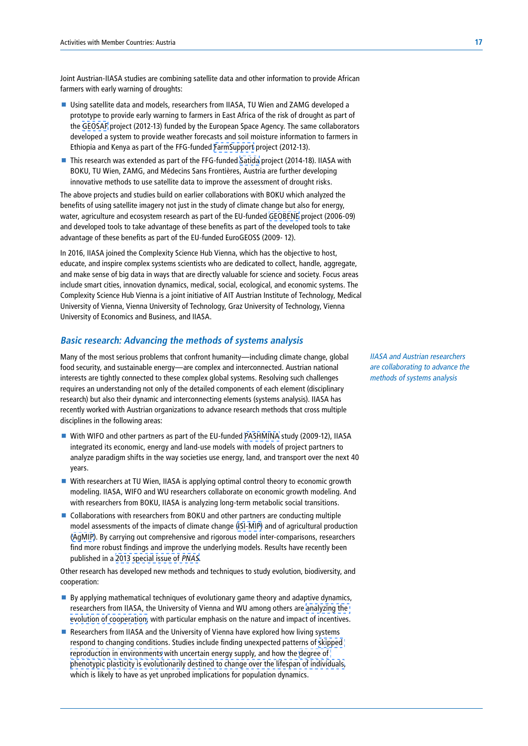Joint Austrian-IIASA studies are combining satellite data and other information to provide African farmers with early warning of droughts:

- Using satellite data and models, researchers from IIASA, TU Wien and ZAMG developed a prototype to provide early warning to farmers in East Africa of the risk of drought as part of the [GEOSAF](http://www.iiasa.ac.at/web/home/research/researchPrograms/EcosystemsServicesandManagement/GEOSAF.en.html) project (2012-13) funded by the European Space Agency. The same collaborators developed a system to provide weather forecasts and soil moisture information to farmers in Ethiopia and Kenya as part of the FFG-funded [FarmSupport](http://www.iiasa.ac.at/web/home/research/researchPrograms/EcosystemsServicesandManagement/FarmSupport.html) project (2012-13).
- This research was extended as part of the FFG-funded [Satida](http://www.iiasa.ac.at/web/home/research/researchPrograms/EcosystemsServicesandManagement/SATIDA.html) project (2014-18). IIASA with BOKU, TU Wien, ZAMG, and Médecins Sans Frontières, Austria are further developing innovative methods to use satellite data to improve the assessment of drought risks.

The above projects and studies build on earlier collaborations with BOKU which analyzed the benefits of using satellite imagery not just in the study of climate change but also for energy, water, agriculture and ecosystem research as part of the EU-funded [GEOBENE](http://www.iiasa.ac.at/web/home/research/researchPrograms/EcosystemsServicesandManagement/GeoBene.en.html) project (2006-09) and developed tools to take advantage of these benefits as part of the developed tools to take advantage of these benefits as part of the EU-funded EuroGEOSS (2009-12).

In 2016, IIASA joined the Complexity Science Hub Vienna, which has the objective to host, educate, and inspire complex systems scientists who are dedicated to collect, handle, aggregate, and make sense of big data in ways that are directly valuable for science and society. Focus areas include smart cities, innovation dynamics, medical, social, ecological, and economic systems. The Complexity Science Hub Vienna is a joint initiative of AIT Austrian Institute of Technology, Medical University of Vienna, Vienna University of Technology, Graz University of Technology, Vienna University of Economics and Business, and IIASA.

# **Basic research: Advancing the methods of systems analysis**

Many of the most serious problems that confront humanity—including climate change, global food security, and sustainable energy—are complex and interconnected. Austrian national interests are tightly connected to these complex global systems. Resolving such challenges requires an understanding not only of the detailed components of each element (disciplinary research) but also their dynamic and interconnecting elements (systems analysis). IIASA has recently worked with Austrian organizations to advance research methods that cross multiple disciplines in the following areas:

- With WIFO and other partners as part of the EU-funded [PASHMINA](http://www.iiasa.ac.at/web/home/research/researchProjects/Pashmina.en.html) study (2009-12), IIASA integrated its economic, energy and land-use models with models of project partners to analyze paradigm shifts in the way societies use energy, land, and transport over the next 40 years.
- With researchers at TU Wien, IIASA is applying optimal control theory to economic growth modeling. IIASA, WIFO and WU researchers collaborate on economic growth modeling. And with researchers from BOKU, IIASA is analyzing long-term metabolic social transitions.
- Collaborations with researchers from BOKU and other partners are conducting multiple model assessments of the impacts of climate change [\(ISI-MIP\)](http://www.iiasa.ac.at/web/home/resources/mediacenter/FeatureArticles/w14-in-the-human-interest.en.html) and of agricultural production ([AgMIP\)](http://www.agmip.org/). By carrying out comprehensive and rigorous model inter-comparisons, researchers find more robust findings and improve the underlying models. Results have recently been published in a [2013 special issue of](http://www.iiasa.ac.at/web/home/about/news/20131216-ISIMIP.en.html) PNAS.

Other research has developed new methods and techniques to study evolution, biodiversity, and cooperation:

- $\blacksquare$  By applying mathematical techniques of evolutionary game theory and adaptive dynamics, researchers from IIASA, the University of Vienna and WU among others are [analyzing the](http://www.iiasa.ac.at/web/home/research/researchPrograms/EvolutionandEcology/Equitable-Governance-of-Common-Goods.en.html)  [evolution of cooperation](http://www.iiasa.ac.at/web/home/research/researchPrograms/EvolutionandEcology/Equitable-Governance-of-Common-Goods.en.html), with particular emphasis on the nature and impact of incentives.
- Researchers from IIASA and the University of Vienna have explored how living systems respond to changing conditions. Studies include finding unexpected patterns of [skipped](http://www.iiasa.ac.at/publication/more_XJ-09-033.php)  [reproduction in environments](http://www.iiasa.ac.at/publication/more_XJ-09-033.php) with uncertain energy supply, and how the [degree of](http://www.iiasa.ac.at/publication/more_XJ-14-012.php)  [phenotypic plasticity is evolutionarily destined to change over the lifespan of individuals](http://www.iiasa.ac.at/publication/more_XJ-14-012.php), which is likely to have as yet unprobed implications for population dynamics.

IIASA and Austrian researchers are collaborating to advance the methods of systems analysis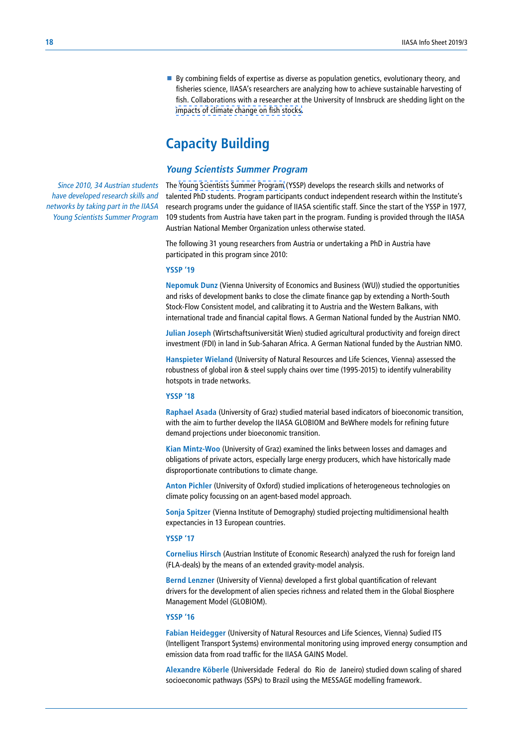By combining fields of expertise as diverse as population genetics, evolutionary theory, and fisheries science, IIASA's researchers are analyzing how to achieve sustainable harvesting of fish. Collaborations with a researcher at the University of Innsbruck are shedding light on the [impacts of climate change on fish stocks](http://www.iiasa.ac.at/publication/more_XJ-14-092.php).

# **Capacity Building**

# **Young Scientists Summer Program**

Since 2010, 34 Austrian students have developed research skills and networks by taking part in the IIASA Young Scientists Summer Program

The [Young Scientists Summer Program](http://www.iiasa.ac.at/web/home/education/yssp/about.html) (YSSP) develops the research skills and networks of talented PhD students. Program participants conduct independent research within the Institute's research programs under the guidance of IIASA scientific staff. Since the start of the YSSP in 1977, 109 students from Austria have taken part in the program. Funding is provided through the IIASA Austrian National Member Organization unless otherwise stated.

The following 31 young researchers from Austria or undertaking a PhD in Austria have participated in this program since 2010:

#### **YSSP '19**

**Nepomuk Dunz** (Vienna University of Economics and Business (WU)) studied the opportunities and risks of development banks to close the climate finance gap by extending a North-South Stock-Flow Consistent model, and calibrating it to Austria and the Western Balkans, with international trade and financial capital flows. A German National funded by the Austrian NMO.

**Julian Joseph** (Wirtschaftsuniversität Wien) studied agricultural productivity and foreign direct investment (FDI) in land in Sub-Saharan Africa. A German National funded by the Austrian NMO.

**Hanspieter Wieland** (University of Natural Resources and Life Sciences, Vienna) assessed the robustness of global iron & steel supply chains over time (1995-2015) to identify vulnerability hotspots in trade networks.

#### **YSSP '18**

**Raphael Asada** (University of Graz) studied material based indicators of bioeconomic transition, with the aim to further develop the IIASA GLOBIOM and BeWhere models for refining future demand projections under bioeconomic transition.

**Kian Mintz-Woo** (University of Graz) examined the links between losses and damages and obligations of private actors, especially large energy producers, which have historically made disproportionate contributions to climate change.

**Anton Pichler** (University of Oxford) studied implications of heterogeneous technologies on climate policy focussing on an agent-based model approach.

**Sonja Spitzer** (Vienna Institute of Demography) studied projecting multidimensional health expectancies in 13 European countries.

#### **YSSP '17**

**Cornelius Hirsch** (Austrian Institute of Economic Research) analyzed the rush for foreign land (FLA-deals) by the means of an extended gravity-model analysis.

**Bernd Lenzner** (University of Vienna) developed a first global quantification of relevant drivers for the development of alien species richness and related them in the Global Biosphere Management Model (GLOBIOM).

### **YSSP '16**

**Fabian Heidegger** (University of Natural Resources and Life Sciences, Vienna) Sudied ITS (Intelligent Transport Systems) environmental monitoring using improved energy consumption and emission data from road traffic for the IIASA GAINS Model.

**Alexandre Köberle** (Universidade Federal do Rio de Janeiro) studied down scaling of shared socioeconomic pathways (SSPs) to Brazil using the MESSAGE modelling framework.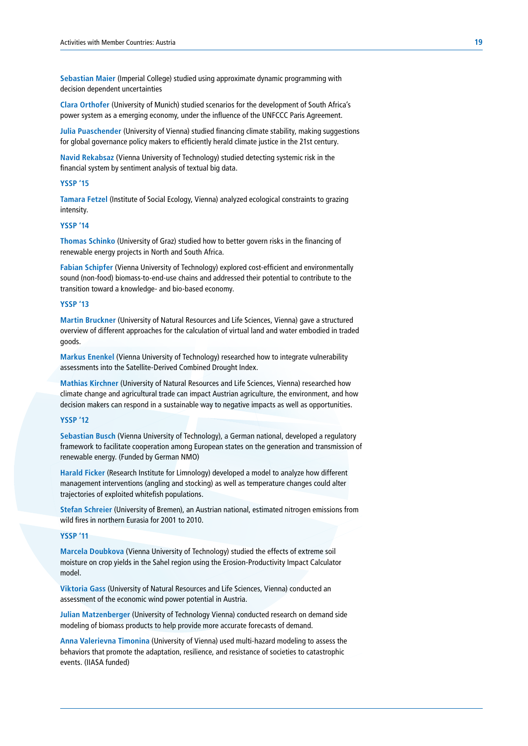**Sebastian Maier** (Imperial College) studied using approximate dynamic programming with decision dependent uncertainties

**Clara Orthofer** (University of Munich) studied scenarios for the development of South Africa's power system as a emerging economy, under the influence of the UNFCCC Paris Agreement.

**Julia Puaschender** (University of Vienna) studied financing climate stability, making suggestions for global governance policy makers to efficiently herald climate justice in the 21st century.

**Navid Rekabsaz** (Vienna University of Technology) studied detecting systemic risk in the financial system by sentiment analysis of textual big data.

#### **YSSP '15**

**Tamara Fetzel** (Institute of Social Ecology, Vienna) analyzed ecological constraints to grazing intensity.

#### **YSSP '14**

**Thomas Schinko** (University of Graz) studied how to better govern risks in the financing of renewable energy projects in North and South Africa.

**Fabian Schipfer** (Vienna University of Technology) explored cost-efficient and environmentally sound (non-food) biomass-to-end-use chains and addressed their potential to contribute to the transition toward a knowledge- and bio-based economy.

#### **YSSP '13**

**Martin Bruckner** (University of Natural Resources and Life Sciences, Vienna) gave a structured overview of different approaches for the calculation of virtual land and water embodied in traded goods.

**Markus Enenkel** (Vienna University of Technology) researched how to integrate vulnerability assessments into the Satellite-Derived Combined Drought Index.

**Mathias Kirchner** (University of Natural Resources and Life Sciences, Vienna) researched how climate change and agricultural trade can impact Austrian agriculture, the environment, and how decision makers can respond in a sustainable way to negative impacts as well as opportunities.

#### **YSSP '12**

**Sebastian Busch** (Vienna University of Technology), a German national, developed a regulatory framework to facilitate cooperation among European states on the generation and transmission of renewable energy. (Funded by German NMO)

**Harald Ficker** (Research Institute for Limnology) developed a model to analyze how different management interventions (angling and stocking) as well as temperature changes could alter trajectories of exploited whitefish populations.

**Stefan Schreier** (University of Bremen), an Austrian national, estimated nitrogen emissions from wild fires in northern Eurasia for 2001 to 2010.

#### **YSSP '11**

**Marcela Doubkova** (Vienna University of Technology) studied the effects of extreme soil moisture on crop yields in the Sahel region using the Erosion-Productivity Impact Calculator model.

**Viktoria Gass** (University of Natural Resources and Life Sciences, Vienna) conducted an assessment of the economic wind power potential in Austria.

**Julian Matzenberger** (University of Technology Vienna) conducted research on demand side modeling of biomass products to help provide more accurate forecasts of demand.

**Anna Valerievna Timonina** (University of Vienna) used multi-hazard modeling to assess the behaviors that promote the adaptation, resilience, and resistance of societies to catastrophic events. (IIASA funded)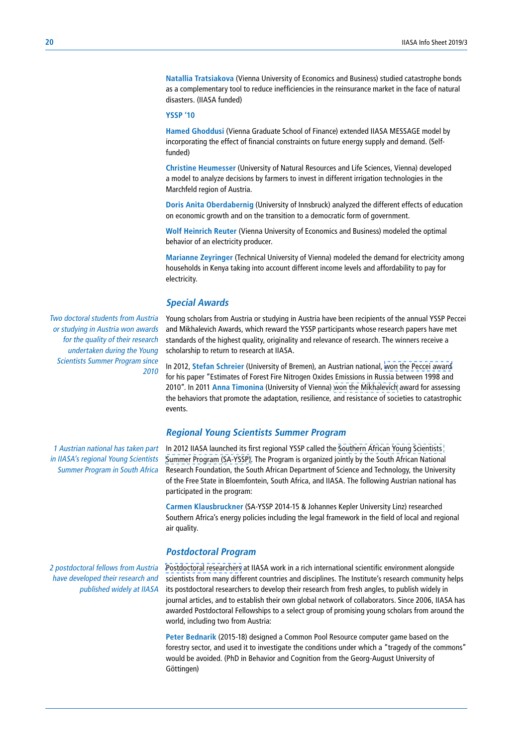**Natallia Tratsiakova** (Vienna University of Economics and Business) studied catastrophe bonds as a complementary tool to reduce inefficiencies in the reinsurance market in the face of natural disasters. (IIASA funded)

#### **YSSP '10**

**Hamed Ghoddusi** (Vienna Graduate School of Finance) extended IIASA MESSAGE model by incorporating the effect of financial constraints on future energy supply and demand. (Selffunded)

**Christine Heumesser** (University of Natural Resources and Life Sciences, Vienna) developed a model to analyze decisions by farmers to invest in different irrigation technologies in the Marchfeld region of Austria.

**Doris Anita Oberdabernig** (University of Innsbruck) analyzed the different effects of education on economic growth and on the transition to a democratic form of government.

**Wolf Heinrich Reuter** (Vienna University of Economics and Business) modeled the optimal behavior of an electricity producer.

**Marianne Zeyringer** (Technical University of Vienna) modeled the demand for electricity among households in Kenya taking into account different income levels and affordability to pay for electricity.

# **Special Awards**

Young scholars from Austria or studying in Austria have been recipients of the annual YSSP Peccei and Mikhalevich Awards, which reward the YSSP participants whose research papers have met standards of the highest quality, originality and relevance of research. The winners receive a scholarship to return to research at IIASA.

In 2012, **Stefan Schreier** (University of Bremen), an Austrian national, [won the Peccei award](http://www.iiasa.ac.at/web/home/about/achievments/awards/archive/Peccei-2012.en.html)  for his paper "Estimates of Forest Fire Nitrogen Oxides Emissions in Russia between 1998 and 2010". In 2011 **Anna Timonina** (University of Vienna) [won the Mikhalevich](http://www.iiasa.ac.at/web/home/education/yssp/awards.html) award for assessing the behaviors that promote the adaptation, resilience, and resistance of societies to catastrophic events.

# **Regional Young Scientists Summer Program**

In 2012 IIASA launched its first regional YSSP called the [Southern African Young Scientists](http://www.iiasa.ac.at/web/home/education/sa-yssp/SA-YSSP.html)  [Summer Program \(SA-YSSP\).](http://www.iiasa.ac.at/web/home/education/sa-yssp/SA-YSSP.html) The Program is organized jointly by the South African National Research Foundation, the South African Department of Science and Technology, the University of the Free State in Bloemfontein, South Africa, and IIASA. The following Austrian national has participated in the program:

**Carmen Klausbruckner** (SA-YSSP 2014-15 & Johannes Kepler University Linz) researched Southern Africa's energy policies including the legal framework in the field of local and regional air quality.

# **Postdoctoral Program**

[Postdoctoral researchers](http://www.iiasa.ac.at/web/home/education/postdocs.html) at IIASA work in a rich international scientific environment alongside scientists from many different countries and disciplines. The Institute's research community helps its postdoctoral researchers to develop their research from fresh angles, to publish widely in journal articles, and to establish their own global network of collaborators. Since 2006, IIASA has awarded Postdoctoral Fellowships to a select group of promising young scholars from around the world, including two from Austria:

**Peter Bednarik** (2015-18) designed a Common Pool Resource computer game based on the forestry sector, and used it to investigate the conditions under which a "tragedy of the commons" would be avoided. (PhD in Behavior and Cognition from the Georg-August University of Göttingen)

Two doctoral students from Austria or studying in Austria won awards for the quality of their research undertaken during the Young Scientists Summer Program since 2010

1 Austrian national has taken part in IIASA's regional Young Scientists Summer Program in South Africa

2 postdoctoral fellows from Austria have developed their research and published widely at IIASA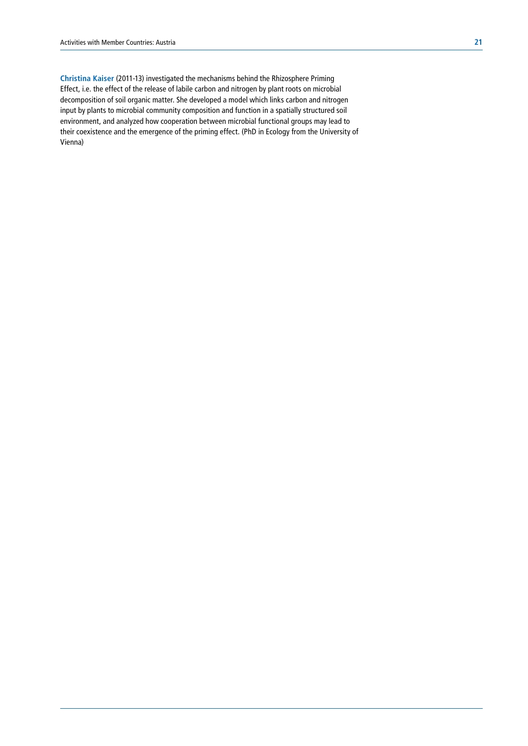**Christina Kaiser** (2011-13) investigated the mechanisms behind the Rhizosphere Priming Effect, i.e. the effect of the release of labile carbon and nitrogen by plant roots on microbial decomposition of soil organic matter. She developed a model which links carbon and nitrogen input by plants to microbial community composition and function in a spatially structured soil environment, and analyzed how cooperation between microbial functional groups may lead to their coexistence and the emergence of the priming effect. (PhD in Ecology from the University of Vienna)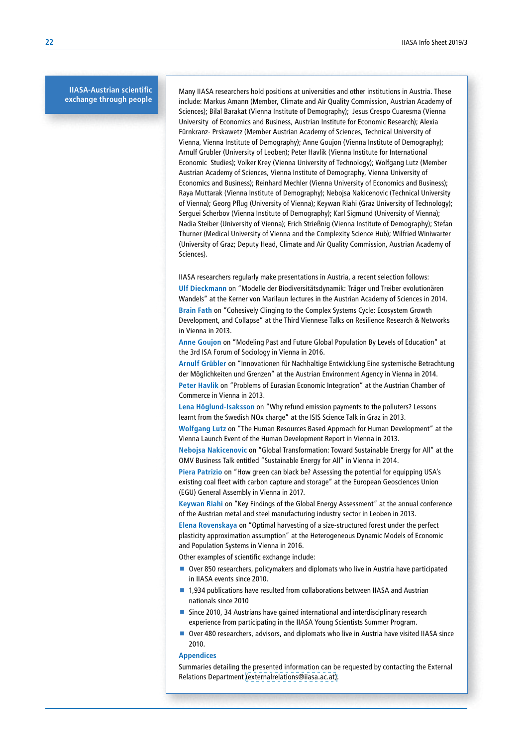#### **IIASA-Austrian scientific exchange through people**

Many IIASA researchers hold positions at universities and other institutions in Austria. These include: Markus Amann (Member, Climate and Air Quality Commission, Austrian Academy of Sciences); Bilal Barakat (Vienna Institute of Demography); Jesus Crespo Cuaresma (Vienna University of Economics and Business, Austrian Institute for Economic Research); Alexia Fürnkranz‑ Prskawetz (Member Austrian Academy of Sciences, Technical University of Vienna, Vienna Institute of Demography); Anne Goujon (Vienna Institute of Demography); Arnulf Grubler (University of Leoben); Peter Havlik (Vienna Institute for International Economic Studies); Volker Krey (Vienna University of Technology); Wolfgang Lutz (Member Austrian Academy of Sciences, Vienna Institute of Demography, Vienna University of Economics and Business); Reinhard Mechler (Vienna University of Economics and Business); Raya Muttarak (Vienna Institute of Demography); Nebojsa Nakicenovic (Technical University of Vienna); Georg Pflug (University of Vienna); Keywan Riahi (Graz University of Technology); Serguei Scherbov (Vienna Institute of Demography); Karl Sigmund (University of Vienna); Nadia Steiber (University of Vienna); Erich Strießnig (Vienna Institute of Demography); Stefan Thurner (Medical University of Vienna and the Complexity Science Hub); Wilfried Winiwarter (University of Graz; Deputy Head, Climate and Air Quality Commission, Austrian Academy of Sciences).

IIASA researchers regularly make presentations in Austria, a recent selection follows:

**Ulf Dieckmann** on "Modelle der Biodiversitätsdynamik: Träger und Treiber evolutionären Wandels" at the Kerner von Marilaun lectures in the Austrian Academy of Sciences in 2014. **Brain Fath** on "Cohesively Clinging to the Complex Systems Cycle: Ecosystem Growth Development, and Collapse" at the Third Viennese Talks on Resilience Research & Networks in Vienna in 2013.

**Anne Goujon** on "Modeling Past and Future Global Population By Levels of Education" at the 3rd ISA Forum of Sociology in Vienna in 2016.

**Arnulf Grübler** on "Innovationen für Nachhaltige Entwicklung Eine systemische Betrachtung der Möglichkeiten und Grenzen" at the Austrian Environment Agency in Vienna in 2014. **Peter Havlik** on "Problems of Eurasian Economic Integration" at the Austrian Chamber of Commerce in Vienna in 2013.

**Lena Höglund-Isaksson** on "Why refund emission payments to the polluters? Lessons learnt from the Swedish NOx charge" at the ISIS Science Talk in Graz in 2013.

**Wolfgang Lutz** on "The Human Resources Based Approach for Human Development" at the Vienna Launch Event of the Human Development Report in Vienna in 2013.

**Nebojsa Nakicenovic** on "Global Transformation: Toward Sustainable Energy for All" at the OMV Business Talk entitled "Sustainable Energy for All" in Vienna in 2014.

**Piera Patrizio** on "How green can black be? Assessing the potential for equipping USA's existing coal fleet with carbon capture and storage" at the European Geosciences Union (EGU) General Assembly in Vienna in 2017.

**Keywan Riahi** on "Key Findings of the Global Energy Assessment" at the annual conference of the Austrian metal and steel manufacturing industry sector in Leoben in 2013.

**Elena Rovenskaya** on "Optimal harvesting of a size-structured forest under the perfect plasticity approximation assumption" at the Heterogeneous Dynamic Models of Economic and Population Systems in Vienna in 2016.

Other examples of scientific exchange include:

- Over 850 researchers, policymakers and diplomats who live in Austria have participated in IIASA events since 2010.
- 1,934 publications have resulted from collaborations between IIASA and Austrian nationals since 2010
- Since 2010, 34 Austrians have gained international and interdisciplinary research experience from participating in the IIASA Young Scientists Summer Program.
- Over 480 researchers, advisors, and diplomats who live in Austria have visited IIASA since 2010.

#### **Appendices**

Summaries detailing the presented information can be requested by contacting the External Relations Department (externalrelations@iiasa.ac.at).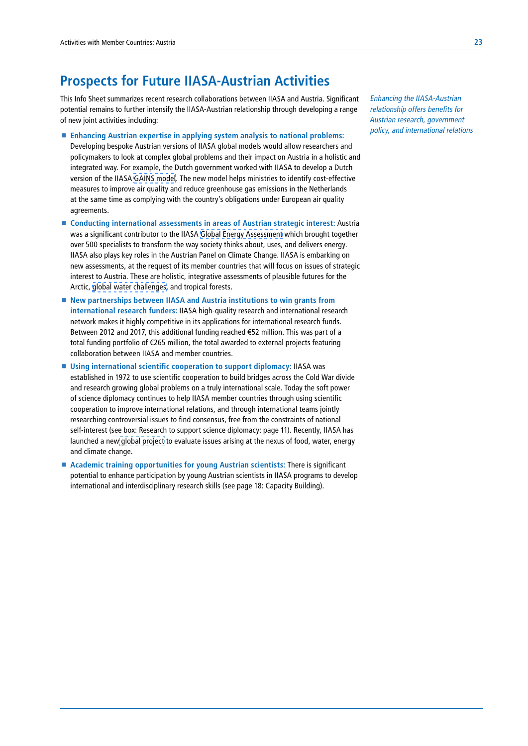# **Prospects for Future IIASA-Austrian Activities**

This Info Sheet summarizes recent research collaborations between IIASA and Austria. Significant potential remains to further intensify the IIASA-Austrian relationship through developing a range of new joint activities including:

- **Enhancing Austrian expertise in applying system analysis to national problems:** Developing bespoke Austrian versions of IIASA global models would allow researchers and policymakers to look at complex global problems and their impact on Austria in a holistic and integrated way. For example, the Dutch government worked with IIASA to develop a Dutch version of the IIASA [GAINS model](http://www.iiasa.ac.at/web/home/research/modelsData/GAINS/GAINS.en.html). The new model helps ministries to identify cost-effective measures to improve air quality and reduce greenhouse gas emissions in the Netherlands at the same time as complying with the country's obligations under European air quality agreements.
- **Conducting international assessments in areas of Austrian strategic interest:** Austria was a significant contributor to the IIASA [Global Energy Assessment](http://www.iiasa.ac.at/web/home/research/Flagship-Projects/Global-Energy-Assessment/Home-GEA.en.html) which brought together over 500 specialists to transform the way society thinks about, uses, and delivers energy. IIASA also plays key roles in the Austrian Panel on Climate Change. IIASA is embarking on new assessments, at the request of its member countries that will focus on issues of strategic interest to Austria. These are holistic, integrative assessments of plausible futures for the Arctic, [global water challenges,](http://www.iiasa.ac.at/web/home/research/water-futures.html) and tropical forests.
- New partnerships between IIASA and Austria institutions to win grants from **international research funders:** IIASA high-quality research and international research network makes it highly competitive in its applications for international research funds. Between 2012 and 2017, this additional funding reached €52 million. This was part of a total funding portfolio of €265 million, the total awarded to external projects featuring collaboration between IIASA and member countries.
- **Using international scientific cooperation to support diplomacy:** IIASA was established in 1972 to use scientific cooperation to build bridges across the Cold War divide and research growing global problems on a truly international scale. Today the soft power of science diplomacy continues to help IIASA member countries through using scientific cooperation to improve international relations, and through international teams jointly researching controversial issues to find consensus, free from the constraints of national self-interest (see box: Research to support science diplomacy: page 11). Recently, IIASA has launched a new [global project](http://www.iiasa.ac.at/web/home/research/iswel/ISWEL.html) to evaluate issues arising at the nexus of food, water, energy and climate change.
- **Academic training opportunities for young Austrian scientists:** There is significant potential to enhance participation by young Austrian scientists in IIASA programs to develop international and interdisciplinary research skills (see page 18: Capacity Building).

Enhancing the IIASA-Austrian relationship offers benefits for Austrian research, government policy, and international relations